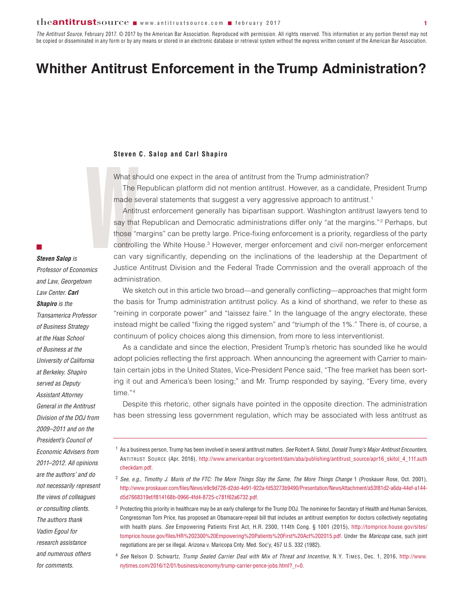## the**antitrust**source www.antitrustsource.com **n** february 2017

*The Antitrust Source*, February 2017. © 2017 by the American Bar Association. Reproduced with permission. All rights reserved. This information or any portion thereof may not be copied or disseminated in any form or by any means or stored in an electronic database or retrieval system without the express written consent of the American Bar Association.

# **Whither Antitrust Enforcement in the Trump Administration?**

### **Steven C. Salop and Carl Shapiro**

What should one expect in the area of antitrust from the Trump administration?

The Republican platform did not mention antitrust. However, as a candidate, President Trump made several statements that suggest a very aggressive approach to antitrust.<sup>1</sup>

Steven<br>
What sh<br>
The F<br>
made se<br>
Antitr<br>
say that<br>
those "n<br>
controlli<br>
can var Antitrust enforcement generally has bipartisan support. Washington antitrust lawyers tend to say that Republican and Democratic administrations differ only "at the margins."<sup>2</sup> Perhaps, but those "margins" can be pretty large. Price-fixing enforcement is a priority, regardless of the party controlling the White House.<sup>3</sup> However, merger enforcement and civil non-merger enforcement can vary significantly, depending on the inclinations of the leadership at the Department of Justice Antitrust Division and the Federal Trade Commission and the overall approach of the administration.

We sketch out in this article two broad—and generally conflicting—approaches that might form the basis for Trump administration antitrust policy. As a kind of shorthand, we refer to these as "reining in corporate power" and "laissez faire." In the language of the angry electorate, these instead might be called "fixing the rigged system" and "triumph of the 1%." There is, of course, a continuum of policy choices along this dimension, from more to less interventionist.

As a candidate and since the election, President Trump's rhetoric has sounded like he would adopt policies reflecting the first approach. When announcing the agreement with Carrier to maintain certain jobs in the United States, Vice-President Pence said, "The free market has been sorting it out and America's been losing;" and Mr. Trump responded by saying, "Every time, every time."<sup>4</sup>

Despite this rhetoric, other signals have pointed in the opposite direction. The administration has been stressing less government regulation, which may be associated with less antitrust as

- <sup>1</sup> As a business person, Trump has been involved in several antitrust matters. *See* Robert A. Skitol, *Donald Trump's Major Antitrust Encounters*, ANTITRUST SOURCE (Apr. 2016), [http://www.americanbar.org/content/dam/aba/publishing/antitrust\\_source/apr16\\_skitol\\_4\\_11f.auth](http://www.americanbar.org/content/dam/aba/publishing/antitrust_source/apr16_skitol_4_11f.authcheckdam.pdf) [checkdam.pdf.](http://www.americanbar.org/content/dam/aba/publishing/antitrust_source/apr16_skitol_4_11f.authcheckdam.pdf)
- <sup>2</sup> *See, e.g.*, *Timothy J. Muris of the FTC: The More Things Stay the Same, The More Things Change* 1 (Proskauer Rose, Oct. 2001), http://www.proskauer.com/files/News/e9c9d728-d2dd-4e91-922a-fd53273b9490/Presentation/NewsAttachment/a53f81d2-a6da-44ef-a144 d5d7668319ef/f814168b-0966-4fd4-8725-c781f62a6732.pdf.
- <sup>3</sup> Protecting this priority in healthcare may be an early challenge for the Trump DOJ. The nominee for Secretary of Health and Human Services, Congressman Tom Price, has proposed an Obamacare-repeal bill that includes an antitrust exemption for doctors collectively negotiating with health plans. *See* Empowering Patients First Act, H.R. 2300, 114th Cong. § 1001 (2015), [http://tomprice.house.gov/sites/](http://tomprice.house.gov/sites/tomprice.house.gov/files/HR%202300%20Empowering%20Patients%20First%20Act%202015.pdf.) [tomprice.house.gov/files/HR%202300%20Empowering%20Patients%20First%20Act%202015.pdf.](http://tomprice.house.gov/sites/tomprice.house.gov/files/HR%202300%20Empowering%20Patients%20First%20Act%202015.pdf.) Under the *Maricopa* case, such joint negotiations are per se illegal. Arizona v. Maricopa Cnty. Med. Soc'y, 457 U.S. 332 (1982).
- <sup>4</sup> *See* Nelson D. Schwartz, *Trump Sealed Carrier Deal with Mix of Threat and Incentive*, N.Y. TIMES, Dec. 1, 2016, [http://www.](http://www.nytimes.com/2016/12/01/business/economy/trump-carrier-pence-jobs.html?_r=0) [nytimes.com/2016/12/01/business/economy/trump-carrier-pence-jobs.html?\\_r=0.](http://www.nytimes.com/2016/12/01/business/economy/trump-carrier-pence-jobs.html?_r=0)

## *Steven Salop is*

 $\mathbb{Z}^2$ 

*Professor of Economics and Law, Georgetown Law Center. Carl Shapiro is the Transamerica Professor of Business Strategy at the Haas School of Business at the University of California at Berkeley. Shapiro served as Deputy Assistant Attorney General in the Antitrust Division of the DOJ from 2009–2011 and on the President's Council of Economic Advisers from 2011–2012. All opinions are the authors' and do not necessarily represent the views of colleagues or consulting clients. The authors thank Vadim Egoul for research assistance and numerous others for comments.*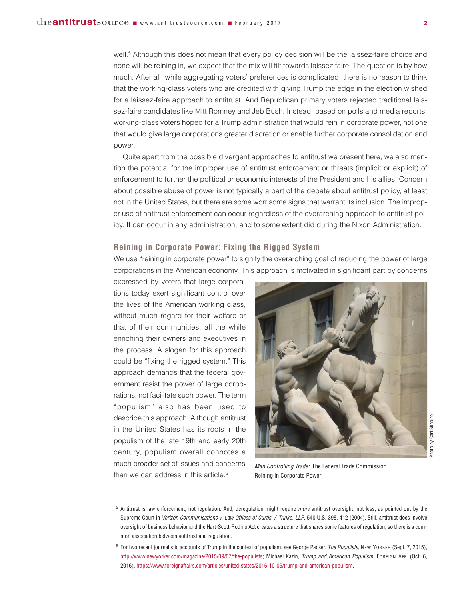well.<sup>5</sup> Although this does not mean that every policy decision will be the laissez-faire choice and none will be reining in, we expect that the mix will tilt towards laissez faire. The question is by how much. After all, while aggregating voters' preferences is complicated, there is no reason to think that the working-class voters who are credited with giving Trump the edge in the election wished for a laissez-faire approach to antitrust. And Republican primary voters rejected traditional laissez-faire candidates like Mitt Romney and Jeb Bush. Instead, based on polls and media reports, working-class voters hoped for a Trump administration that would rein in corporate power, not one that would give large corporations greater discretion or enable further corporate consolidation and power.

Quite apart from the possible divergent approaches to antitrust we present here, we also mention the potential for the improper use of antitrust enforcement or threats (implicit or explicit) of enforcement to further the political or economic interests of the President and his allies. Concern about possible abuse of power is not typically a part of the debate about antitrust policy, at least not in the United States, but there are some worrisome signs that warrant its inclusion. The improper use of antitrust enforcement can occur regardless of the overarching approach to antitrust policy. It can occur in any administration, and to some extent did during the Nixon Administration.

## **Reining in Corporate Power: Fixing the Rigged System**

We use "reining in corporate power" to signify the overarching goal of reducing the power of large corporations in the American economy. This approach is motivated in significant part by concerns

expressed by voters that large corporations today exert significant control over the lives of the American working class, without much regard for their welfare or that of their communities, all the while enriching their owners and executives in the process. A slogan for this approach could be "fixing the rigged system." This approach demands that the federal government resist the power of large corporations, not facilitate such power. The term "populism" also has been used to describe this approach. Although antitrust in the United States has its roots in the populism of the late 19th and early 20th century, populism overall connotes a much broader set of issues and concerns than we can address in this article.<sup>6</sup>



*Man Controlling Trade* : The Federal Trade Commission Reining in Corporate Power

<sup>5</sup> Antitrust is law enforcement, not regulation. And, deregulation might require *more* antitrust oversight, not less, as pointed out by the Supreme Court in *Verizon Communications v. Law Offices of Curtis V. Trinko, LLP*, 540 U.S. 398, 412 (2004). Still, antitrust does involve oversight of business behavior and the Hart-Scott-Rodino Act creates a structure that shares some features of regulation, so there is a common association between antitrust and regulation.

<sup>6</sup> For two recent journalistic accounts of Trump in the context of populism, see George Packer, *The Populists*, NEW YORKER (Sept. 7, 2015), http://www.newyorker.com/magazine/2015/09/07/the-populists; Michael Kazin, *Trump and American Populism*, FOREIGN AFF. (Oct. 6, 2016), https://www.foreignaffairs.com/articles/united-states/2016-10-06/trump-and-american-populism.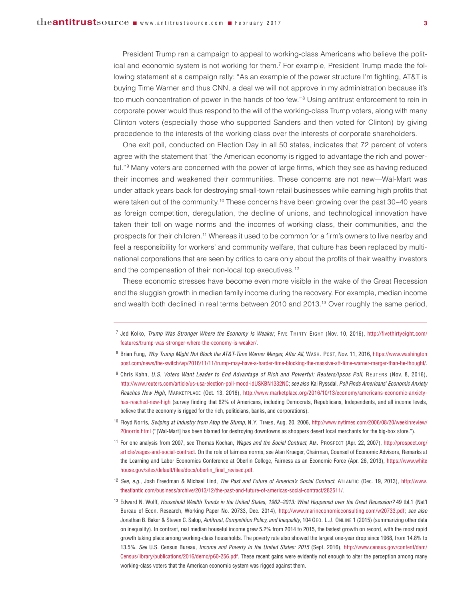President Trump ran a campaign to appeal to working-class Americans who believe the political and economic system is not working for them.7 For example, President Trump made the following statement at a campaign rally: "As an example of the power structure I'm fighting, AT&T is buying Time Warner and thus CNN, a deal we will not approve in my administration because it's too much concentration of power in the hands of too few."<sup>8</sup> Using antitrust enforcement to rein in corporate power would thus respond to the will of the working-class Trump voters, along with many Clinton voters (especially those who supported Sanders and then voted for Clinton) by giving precedence to the interests of the working class over the interests of corporate shareholders.

One exit poll, conducted on Election Day in all 50 states, indicates that 72 percent of voters agree with the statement that "the American economy is rigged to advantage the rich and powerful."<sup>9</sup> Many voters are concerned with the power of large firms, which they see as having reduced their incomes and weakened their communities. These concerns are not new—Wal-Mart was under attack years back for destroying small-town retail businesses while earning high profits that were taken out of the community.<sup>10</sup> These concerns have been growing over the past 30–40 years as foreign competition, deregulation, the decline of unions, and technological innovation have taken their toll on wage norms and the incomes of working class, their communities, and the prospects for their children.11 Whereas it used to be common for a firm's owners to live nearby and feel a responsibility for workers' and community welfare, that culture has been replaced by multinational corporations that are seen by critics to care only about the profits of their wealthy investors and the compensation of their non-local top executives.<sup>12</sup>

These economic stresses have become even more visible in the wake of the Great Recession and the sluggish growth in median family income during the recovery. For example, median income and wealth both declined in real terms between 2010 and 2013.13 Over roughly the same period,

<sup>7</sup> Jed Kolko, *Trump Was Stronger Where the Economy Is Weaker*, FIVE THIRTY EIGHT (Nov. 10, 2016), [http://fivethirtyeight.com/](http://fivethirtyeight.com/features/trump-was-stronger-where-the-economy-is-weaker/) [features/trump-was-stronger-where-the-economy-is-weaker/.](http://fivethirtyeight.com/features/trump-was-stronger-where-the-economy-is-weaker/)

<sup>8</sup> Brian Fung, *Why Trump Might Not Block the AT&T-Time Warner Merger, After All*, WASH. POST, Nov. 11, 2016, [https://www.washington](https://www.washingtonpost.com/news/the-switch/wp/2016/11/11/trump-may-have-a-harder-time-blocking-the-massive-att-time-warner-merger-than-he-thought/) [post.com/news/the-switch/wp/2016/11/11/trump-may-have-a-harder-time-blocking-the-massive-att-time-warner-merger-than-he-thought/](https://www.washingtonpost.com/news/the-switch/wp/2016/11/11/trump-may-have-a-harder-time-blocking-the-massive-att-time-warner-merger-than-he-thought/).

<sup>9</sup> Chris Kahn, *U.S. Voters Want Leader to End Advantage of Rich and Powerful: Reuters/Ipsos Poll*, REUTERS (Nov. 8, 2016), http://www.reuters.com/article/us-usa-election-poll-mood-idUSKBN1332NC; *see also* Kai Ryssdal, *Poll Finds Americans' Economic Anxiety Reaches New High*, MARKETPLACE (Oct. 13, 2016), [http://www.marketplace.org/2016/10/13/economy/americans-economic-anxiety](http://www.marketplace.org/2016/10/13/economy/americans-economic-anxiety-has-reached-new-high)[has-reached-new-high](http://www.marketplace.org/2016/10/13/economy/americans-economic-anxiety-has-reached-new-high) (survey finding that 62% of Americans, including Democrats, Republicans, Independents, and all income levels, believe that the economy is rigged for the rich, politicians, banks, and corporations).

<sup>10</sup> Floyd Norris, *Swiping at Industry from Atop the Stump*, N.Y. TIMES, Aug. 20, 2006, [http://www.nytimes.com/2006/08/20/weekinreview/](http://www.nytimes.com/2006/08/20/weekinreview/20norris.html) [20norris.html](http://www.nytimes.com/2006/08/20/weekinreview/20norris.html) ("[Wal-Mart] has been blamed for destroying downtowns as shoppers desert local merchants for the big-box store.").

<sup>11</sup> For one analysis from 2007, see Thomas Kochan, *Wages and the Social Contract*, AM. PROSPECT (Apr. 22, 2007), [http://prospect.org/](http://prospect.org/article/wages-and-social-contract) [article/wages-and-social-contract.](http://prospect.org/article/wages-and-social-contract) On the role of fairness norms, see Alan Krueger, Chairman, Counsel of Economic Advisors, Remarks at the Learning and Labor Economics Conference at Oberlin College, Fairness as an Economic Force (Apr. 26, 2013), [https://www.white](https://www.whitehouse.gov/sites/default/files/docs/oberlin_final_revised.pdf) [house.gov/sites/default/files/docs/oberlin\\_final\\_revised.pdf.](https://www.whitehouse.gov/sites/default/files/docs/oberlin_final_revised.pdf)

<sup>12</sup> *See, e.g.*, Josh Freedman & Michael Lind, *The Past and Future of America's Social Contract*, ATLANTIC (Dec. 19, 2013), [http://www.](http://www.theatlantic.com/business/archive/2013/12/the-past-and-future-of-americas-social-contract/282511/) [theatlantic.com/business/archive/2013/12/the-past-and-future-of-americas-social-contract/282511/.](http://www.theatlantic.com/business/archive/2013/12/the-past-and-future-of-americas-social-contract/282511/)

<sup>13</sup> Edward N. Wolff, *Household Wealth Trends in the United States, 1962–2013: What Happened over the Great Recession?* 49 tbl.1 (Nat'l Bureau of Econ. Research, Working Paper No. 20733, Dec. 2014), http://www.marineconomicconsulting.com/w20733.pdf; *see also* Jonathan B. Baker & Steven C. Salop, *Antitrust, Competition Policy, and Inequality*, 104 GEO. L.J. ONLINE 1 (2015) (summarizing other data on inequality). In contrast, real median houseful income grew 5.2% from 2014 to 2015, the fastest growth on record, with the most rapid growth taking place among working-class households. The poverty rate also showed the largest one-year drop since 1968, from 14.8% to 13.5%. *See* U.S. Census Bureau, *Income and Poverty in the United States: 2015* (Sept. 2016), [http://www.census.gov/content/dam/](http://www.census.gov/content/dam/Census/library/publications/2016/demo/p60-256.pdf) [Census/library/publications/2016/demo/p60-256.pdf.](http://www.census.gov/content/dam/Census/library/publications/2016/demo/p60-256.pdf) These recent gains were evidently not enough to alter the perception among many working-class voters that the American economic system was rigged against them.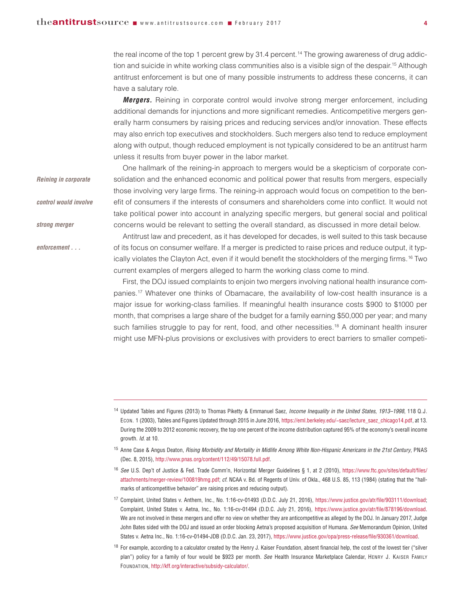*Reining in corporate*

*control would involve*

*strong merger* 

*enforcement . . .* 

the real income of the top 1 percent grew by 31.4 percent.<sup>14</sup> The growing awareness of drug addiction and suicide in white working class communities also is a visible sign of the despair.<sup>15</sup> Although antitrust enforcement is but one of many possible instruments to address these concerns, it can have a salutary role.

**Mergers.** Reining in corporate control would involve strong merger enforcement, including additional demands for injunctions and more significant remedies. Anticompetitive mergers generally harm consumers by raising prices and reducing services and/or innovation. These effects may also enrich top executives and stockholders. Such mergers also tend to reduce employment along with output, though reduced employment is not typically considered to be an antitrust harm unless it results from buyer power in the labor market.

One hallmark of the reining-in approach to mergers would be a skepticism of corporate consolidation and the enhanced economic and political power that results from mergers, especially those involving very large firms. The reining-in approach would focus on competition to the benefit of consumers if the interests of consumers and shareholders come into conflict. It would not take political power into account in analyzing specific mergers, but general social and political concerns would be relevant to setting the overall standard, as discussed in more detail below.

Antitrust law and precedent, as it has developed for decades, is well suited to this task because of its focus on consumer welfare. If a merger is predicted to raise prices and reduce output, it typically violates the Clayton Act, even if it would benefit the stockholders of the merging firms.<sup>16</sup> Two current examples of mergers alleged to harm the working class come to mind.

First, the DOJ issued complaints to enjoin two mergers involving national health insurance companies.17 Whatever one thinks of Obamacare, the availability of low-cost health insurance is a major issue for working-class families. If meaningful health insurance costs \$900 to \$1000 per month, that comprises a large share of the budget for a family earning \$50,000 per year; and many such families struggle to pay for rent, food, and other necessities.<sup>18</sup> A dominant health insurer might use MFN-plus provisions or exclusives with providers to erect barriers to smaller competi-

<sup>16</sup> *See* U.S. Dep't of Justice & Fed. Trade Comm'n, Horizontal Merger Guidelines § 1, at 2 (2010), [https://www.ftc.gov/sites/default/files/](https://www.ftc.gov/sites/default/files/attachments/merger-review/100819hmg.pdf) [attachments/merger-review/100819hmg.pdf;](https://www.ftc.gov/sites/default/files/attachments/merger-review/100819hmg.pdf) *cf.* NCAA v. Bd. of Regents of Univ. of Okla., 468 U.S. 85, 113 (1984) (stating that the "hallmarks of anticompetitive behavior" are raising prices and reducing output).

<sup>17</sup> Complaint, United States v. Anthem, Inc., No. 1:16-cv-01493 (D.D.C. July 21, 2016), https://www.justice.gov/atr/file/903111/download; Complaint, United States v. Aetna, Inc., No. 1:16-cv-01494 (D.D.C. July 21, 2016), https://www.justice.gov/atr/file/878196/download. We are not involved in these mergers and offer no view on whether they are anticompetitive as alleged by the DOJ. In January 2017, Judge John Bates sided with the DOJ and issued an order blocking Aetna's proposed acquisition of Humana. *See* Memorandum Opinion, United States v. Aetna Inc., No. 1:16-cv-01494-JDB (D.D.C. Jan. 23, 2017), https://www.justice.gov/opa/press-release/file/930361/download.

 $18$  For example, according to a calculator created by the Henry J. Kaiser Foundation, absent financial help, the cost of the lowest tier ("silver plan") policy for a family of four would be \$923 per month. *See* Health Insurance Marketplace Calendar, HENRY J. KAISER FAMILY FOUNDATION, http://kff.org/interactive/subsidy-calculator/.

<sup>14</sup> Updated Tables and Figures (2013) to Thomas Piketty & Emmanuel Saez, *Income Inequality in the United States, 1913–1998*, 118 Q.J. ECON. 1 (2003), Tables and Figures Updated through 2015 in June 2016, https://eml.berkeley.edu/~saez/lecture\_saez\_chicago14.pdf, at 13. During the 2009 to 2012 economic recovery, the top one percent of the income distribution captured 95% of the economy's overall income growth. *Id.* at 10.

<sup>15</sup> Anne Case & Angus Deaton, *Rising Morbidity and Mortality in Midlife Among White Non-Hispanic Americans in the 21st Century*, PNAS (Dec. 8, 2015), http://www.pnas.org/content/112/49/15078.full.pdf.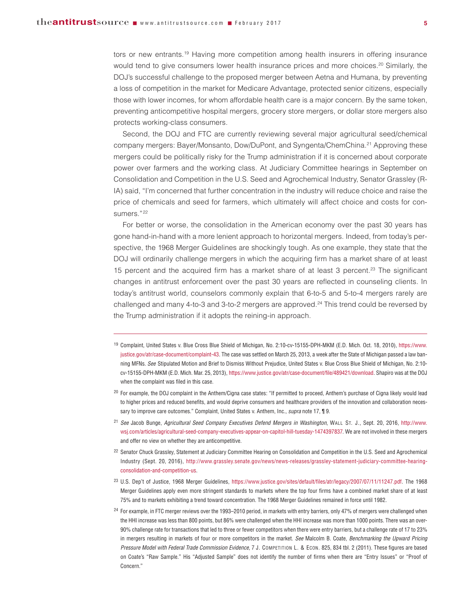tors or new entrants.<sup>19</sup> Having more competition among health insurers in offering insurance would tend to give consumers lower health insurance prices and more choices.<sup>20</sup> Similarly, the DOJ's successful challenge to the proposed merger between Aetna and Humana, by preventing a loss of competition in the market for Medicare Advantage, protected senior citizens, especially those with lower incomes, for whom affordable health care is a major concern. By the same token, preventing anticompetitive hospital mergers, grocery store mergers, or dollar store mergers also protects working-class consumers.

Second, the DOJ and FTC are currently reviewing several major agricultural seed/chemical company mergers: Bayer/Monsanto, Dow/DuPont, and Syngenta/ChemChina.21 Approving these mergers could be politically risky for the Trump administration if it is concerned about corporate power over farmers and the working class. At Judiciary Committee hearings in September on Consolidation and Competition in the U.S. Seed and Agrochemical Industry, Senator Grassley (R-IA) said, "I'm concerned that further concentration in the industry will reduce choice and raise the price of chemicals and seed for farmers, which ultimately will affect choice and costs for consumers."<sup>22</sup>

For better or worse, the consolidation in the American economy over the past 30 years has gone hand-in-hand with a more lenient approach to horizontal mergers. Indeed, from today's perspective, the 1968 Merger Guidelines are shockingly tough. As one example, they state that the DOJ will ordinarily challenge mergers in which the acquiring firm has a market share of at least 15 percent and the acquired firm has a market share of at least 3 percent.<sup>23</sup> The significant changes in antitrust enforcement over the past 30 years are reflected in counseling clients. In today's antitrust world, counselors commonly explain that 6-to-5 and 5-to-4 mergers rarely are challenged and many 4-to-3 and 3-to-2 mergers are approved.<sup>24</sup> This trend could be reversed by the Trump administration if it adopts the reining-in approach.

- <sup>19</sup> Complaint, United States v. Blue Cross Blue Shield of Michigan, No. 2:10-cv-15155-DPH-MKM (E.D. Mich. Oct. 18, 2010), [https://www.](https://www.justice.gov/atr/case-document/complaint-43) [justice.gov/atr/case-document/complaint-43.](https://www.justice.gov/atr/case-document/complaint-43) The case was settled on March 25, 2013, a week after the State of Michigan passed a law banning MFNs. *See* Stipulated Motion and Brief to Dismiss Without Prejudice, United States v. Blue Cross Blue Shield of Michigan, No. 2:10 cv-15155-DPH-MKM (E.D. Mich. Mar. 25, 2013), https://www.justice.gov/atr/case-document/file/489421/download. Shapiro was at the DOJ when the complaint was filed in this case.
- <sup>20</sup> For example, the DOJ complaint in the Anthem/Cigna case states: "If permitted to proceed, Anthem's purchase of Cigna likely would lead to higher prices and reduced benefits, and would deprive consumers and healthcare providers of the innovation and collaboration necessary to improve care outcomes." Complaint, United States v. Anthem, Inc., *supra* note 17, ¶ 9.
- <sup>21</sup> *See* Jacob Bunge, *Agricultural Seed Company Executives Defend Mergers in Washington*, WALL ST. J., Sept. 20, 2016, [http://www.](http://www.wsj.com/articles/agricultural-seed-company-executives-appear-on-capitol-hill-tuesday-1474397837) [wsj.com/articles/agricultural-seed-company-executives-appear-on-capitol-hill-tuesday-1474397837.](http://www.wsj.com/articles/agricultural-seed-company-executives-appear-on-capitol-hill-tuesday-1474397837) We are not involved in these mergers and offer no view on whether they are anticompetitive.
- <sup>22</sup> Senator Chuck Grassley, Statement at Judiciary Committee Hearing on Consolidation and Competition in the U.S. Seed and Agrochemical Industry (Sept. 20, 2016), [http://www.grassley.senate.gov/news/news-releases/grassley-statement-judiciary-committee-hearing](http://www.grassley.senate.gov/news/news-releases/grassley-statement-judiciary-committee-hearing-consolidation-and-competition-us)[consolidation-and-competition-us.](http://www.grassley.senate.gov/news/news-releases/grassley-statement-judiciary-committee-hearing-consolidation-and-competition-us)
- <sup>23</sup> U.S. Dep't of Justice, 1968 Merger Guidelines, https://www.justice.gov/sites/default/files/atr/legacy/2007/07/11/11247.pdf. The 1968 Merger Guidelines apply even more stringent standards to markets where the top four firms have a combined market share of at least 75% and to markets exhibiting a trend toward concentration. The 1968 Merger Guidelines remained in force until 1982.
- <sup>24</sup> For example, in FTC merger reviews over the 1993-2010 period, in markets with entry barriers, only 47% of mergers were challenged when the HHI increase was less than 800 points, but 86% were challenged when the HHI increase was more than 1000 points. There was an over-90% challenge rate for transactions that led to three or fewer competitors when there were entry barriers, but a challenge rate of 17 to 23% in mergers resulting in markets of four or more competitors in the market. *See* Malcolm B. Coate, *Benchmarking the Upward Pricing Pressure Model with Federal Trade Commission Evidence*, 7 J. COMPETITION L. & ECON. 825, 834 tbl. 2 (2011). These figures are based on Coate's "Raw Sample." His "Adjusted Sample" does not identify the number of firms when there are "Entry Issues" or "Proof of Concern."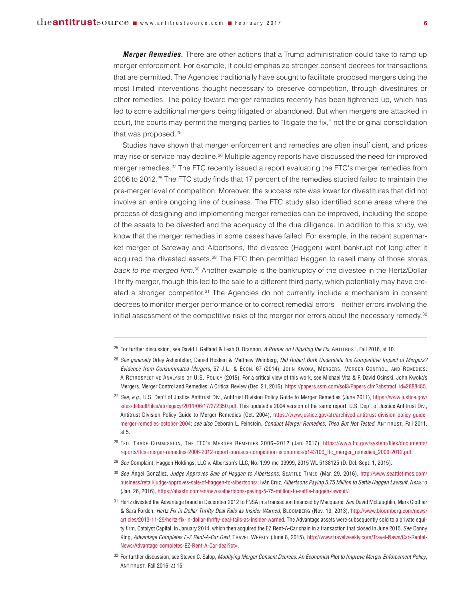*Merger Remedies.* There are other actions that a Trump administration could take to ramp up merger enforcement. For example, it could emphasize stronger consent decrees for transactions that are permitted. The Agencies traditionally have sought to facilitate proposed mergers using the most limited interventions thought necessary to preserve competition, through divestitures or other remedies. The policy toward merger remedies recently has been tightened up, which has led to some additional mergers being litigated or abandoned. But when mergers are attacked in court, the courts may permit the merging parties to "litigate the fix," not the original consolidation that was proposed.25

Studies have shown that merger enforcement and remedies are often insufficient, and prices may rise or service may decline.26 Multiple agency reports have discussed the need for improved merger remedies.<sup>27</sup> The FTC recently issued a report evaluating the FTC's merger remedies from 2006 to 2012.28 The FTC study finds that 17 percent of the remedies studied failed to maintain the pre-merger level of competition. Moreover, the success rate was lower for divestitures that did not involve an entire ongoing line of business. The FTC study also identified some areas where the process of designing and implementing merger remedies can be improved, including the scope of the assets to be divested and the adequacy of the due diligence. In addition to this study, we know that the merger remedies in some cases have failed. For example, in the recent supermarket merger of Safeway and Albertsons, the divestee (Haggen) went bankrupt not long after it acquired the divested assets.<sup>29</sup> The FTC then permitted Haggen to resell many of those stores back to the merged firm.<sup>30</sup> Another example is the bankruptcy of the divestee in the Hertz/Dollar Thrifty merger, though this led to the sale to a different third party, which potentially may have created a stronger competitor.31 The Agencies do not currently include a mechanism in consent decrees to monitor merger performance or to correct remedial errors—neither errors involving the initial assessment of the competitive risks of the merger nor errors about the necessary remedy.<sup>32</sup>

- <sup>26</sup> *See generally* Orley Ashenfelter, Daniel Hosken & Matthew Weinberg, *Did Robert Bork Understate the Competitive Impact of Mergers? Evidence from Consummated Mergers*, 57 J.L. & ECON. 67 (2014); JOHN KWOKA, MERGERS, MERGER CONTROL, AND REMEDIES: A RETROSPECTIVE ANALYSIS OF U.S. POLICY (2015). For a critical view of this work, see Michael Vita & F. David Osinski, John Kwoka's Mergers, Merger Control and Remedies: A Critical Review (Dec. 21, 2016), https://papers.ssrn.com/sol3/Papers.cfm?abstract\_id=2888485.
- <sup>27</sup> *See, e.g.*, U.S. Dep't of Justice Antitrust Div., Antitrust Division Policy Guide to Merger Remedies (June 2011), [https://www.justice.gov/](tps://www.justice.gov/sites/default/files/atr/legacy/2011/06/17/272350.pdf) [sites/default/files/atr/legacy/2011/06/17/272350.pdf.](tps://www.justice.gov/sites/default/files/atr/legacy/2011/06/17/272350.pdf) This updated a 2004 version of the same report. U.S. Dep't of Justice Antitrust Div., Antitrust Division Policy Guide to Merger Remedies (Oct. 2004), [https://www.justice.gov/atr/archived-antitrust-division-policy-guide](https://www.justice.gov/atr/archived-antitrust-division-policy-guide-merger-remedies-october-2004)[merger-remedies-october-2004;](https://www.justice.gov/atr/archived-antitrust-division-policy-guide-merger-remedies-october-2004) *see also* Deborah L. Feinstein, *Conduct Merger Remedies; Tried But Not Tested*, ANTITRUST, Fall 2011, at 5.
- <sup>28</sup> FED. TRADE COMMISSION, THE FTC'S MERGER REMEDIES 2006–2012 (Jan. 2017), [https://www.ftc.gov/system/files/documents/](https://www.ftc.gov/system/files/documents/reports/ftcs-merger-remedies-2006-2012-report-bureaus-competition-economics/p143100_ftc_merger_remedies_2006-2012.pdf) [reports/ftcs-merger-remedies-2006-2012-report-bureaus-competition-economics/p143100\\_ftc\\_merger\\_remedies\\_2006-2012.pdf.](https://www.ftc.gov/system/files/documents/reports/ftcs-merger-remedies-2006-2012-report-bureaus-competition-economics/p143100_ftc_merger_remedies_2006-2012.pdf)
- <sup>29</sup> *See* Complaint, Haggen Holdings, LLC v. Albertson's LLC, No. 1:99-mc-09999, 2015 WL 5138125 (D. Del. Sept. 1, 2015).
- <sup>30</sup> *See* Ángel González, *Judge Approves Sale of Haggen to Albertsons*, SEATTLE TIMES (Mar. 29, 2016), [http://www.seattletimes.com/](http://www.seattletimes.com/business/retail/judge-approves-sale-of-haggen-to-albertsons/) [business/retail/judge-approves-sale-of-haggen-to-albertsons/;](http://www.seattletimes.com/business/retail/judge-approves-sale-of-haggen-to-albertsons/) Iván Cruz, *Albertsons Paying 5.75 Million to Settle Haggen Lawsuit*, ABASTO (Jan. 26, 2016), https://abasto.com/en/news/albertsons-paying-5-75-million-to-settle-haggen-lawsuit/.
- <sup>31</sup> Hertz divested the Advantage brand in December 2012 to FNSA in a transaction financed by Macquarie. *See* David McLaughlin, Mark Clothier & Sara Forden, *Hertz Fix in Dollar Thrifty Deal Fails as Insider Warned*, BLOOMBERG (Nov. 19, 2013), [http://www.bloomberg.com/news/](http://www.bloomberg.com/news/articles/2013-11-29/hertz-fix-in-dollar-thrifty-deal-fails-as-insider-warned) [articles/2013-11-29/hertz-fix-in-dollar-thrifty-deal-fails-as-insider-warned.](http://www.bloomberg.com/news/articles/2013-11-29/hertz-fix-in-dollar-thrifty-deal-fails-as-insider-warned) The Advantage assets were subsequently sold to a private equity firm, Catalyst Capital, in January 2014, which then acquired the EZ Rent-A-Car chain in a transaction that closed in June 2015. *See* Danny King, *Advantage Completes E-Z Rent-A-Car Deal*, TRAVEL WEEKLY (June 8, 2015), http://www.travelweekly.com/Travel-News/Car-Rental-News/Advantage-completes-EZ-Rent-A-Car-deal?ct=.
- <sup>32</sup> For further discussion, see Steven C. Salop, *Modifying Merger Consent Decrees: An Economist Plot to Improve Merger Enforcement Policy*, ANTITRUST, Fall 2016, at 15.

<sup>25</sup> For further discussion, see David I. Gelfand & Leah O. Brannon, *A Primer on Litigating the Fix*, ANTITRUST, Fall 2016, at 10.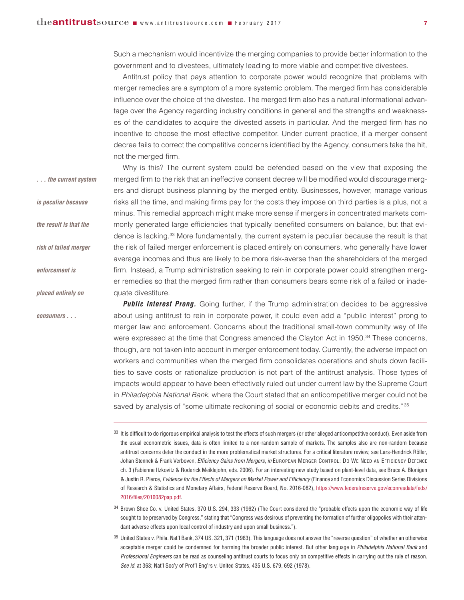Such a mechanism would incentivize the merging companies to provide better information to the government and to divestees, ultimately leading to more viable and competitive divestees.

Antitrust policy that pays attention to corporate power would recognize that problems with merger remedies are a symptom of a more systemic problem. The merged firm has considerable influence over the choice of the divestee. The merged firm also has a natural informational advantage over the Agency regarding industry conditions in general and the strengths and weaknesses of the candidates to acquire the divested assets in particular. And the merged firm has no incentive to choose the most effective competitor. Under current practice, if a merger consent decree fails to correct the competitive concerns identified by the Agency, consumers take the hit, not the merged firm.

Why is this? The current system could be defended based on the view that exposing the merged firm to the risk that an ineffective consent decree will be modified would discourage mergers and disrupt business planning by the merged entity. Businesses, however, manage various risks all the time, and making firms pay for the costs they impose on third parties is a plus, not a minus. This remedial approach might make more sense if mergers in concentrated markets commonly generated large efficiencies that typically benefited consumers on balance, but that evidence is lacking.33 More fundamentally, the current system is peculiar because the result is that the risk of failed merger enforcement is placed entirely on consumers, who generally have lower average incomes and thus are likely to be more risk-averse than the shareholders of the merged firm. Instead, a Trump administration seeking to rein in corporate power could strengthen merger remedies so that the merged firm rather than consumers bears some risk of a failed or inadequate divestiture. *. . . the current system is peculiar because the result is that the risk of failed merger enforcement is placed entirely on* 

*consumers . . .* 

**Public Interest Prong.** Going further, if the Trump administration decides to be aggressive about using antitrust to rein in corporate power, it could even add a "public interest" prong to merger law and enforcement. Concerns about the traditional small-town community way of life were expressed at the time that Congress amended the Clayton Act in 1950.<sup>34</sup> These concerns, though, are not taken into account in merger enforcement today. Currently, the adverse impact on workers and communities when the merged firm consolidates operations and shuts down facilities to save costs or rationalize production is not part of the antitrust analysis. Those types of impacts would appear to have been effectively ruled out under current law by the Supreme Court in Philadelphia National Bank, where the Court stated that an anticompetitive merger could not be saved by analysis of "some ultimate reckoning of social or economic debits and credits." <sup>35</sup>

<sup>34</sup> Brown Shoe Co. v. United States, 370 U.S. 294, 333 (1962) (The Court considered the "probable effects upon the economic way of life sought to be preserved by Congress," stating that "Congress was desirous of preventing the formation of further oligopolies with their attendant adverse effects upon local control of industry and upon small business.").

<sup>35</sup> United States v. Phila. Nat'l Bank, 374 US. 321, 371 (1963). This language does not answer the "reverse question" of whether an otherwise acceptable merger could be condemned for harming the broader public interest. But other language in *Philadelphia National Bank* and *Professional Engineers* can be read as counseling antitrust courts to focus only on competitive effects in carrying out the rule of reason. *See id.* at 363; Nat'l Soc'y of Prof'l Eng'rs v. United States, 435 U.S. 679, 692 (1978).

<sup>33</sup> It is difficult to do rigorous empirical analysis to test the effects of such mergers (or other alleged anticompetitive conduct). Even aside from the usual econometric issues, data is often limited to a non-random sample of markets. The samples also are non-random because antitrust concerns deter the conduct in the more problematical market structures. For a critical literature review, see Lars-Hendrick Röller, Johan Stennek & Frank Verboven, *Efficiency Gains from Mergers*, *in* EUROPEAN MERGER CONTROL: DO WE NEED AN EFFICIENCY DEFENCE ch. 3 (Fabienne IIzkovitz & Roderick Meiklejohn, eds. 2006). For an interesting new study based on plant-level data, see Bruce A. Blonigen & Justin R. Pierce, *Evidence for the Effects of Mergers on Market Power and Efficiency* (Finance and Economics Discussion Series Divisions of Research & Statistics and Monetary Affairs, Federal Reserve Board, No. 2016-082), [https://www.federalreserve.gov/econresdata/feds/](https://www.federalreserve.gov/econresdata/feds/2016/files/2016082pap.pdf) [2016/files/2016082pap.pdf.](https://www.federalreserve.gov/econresdata/feds/2016/files/2016082pap.pdf)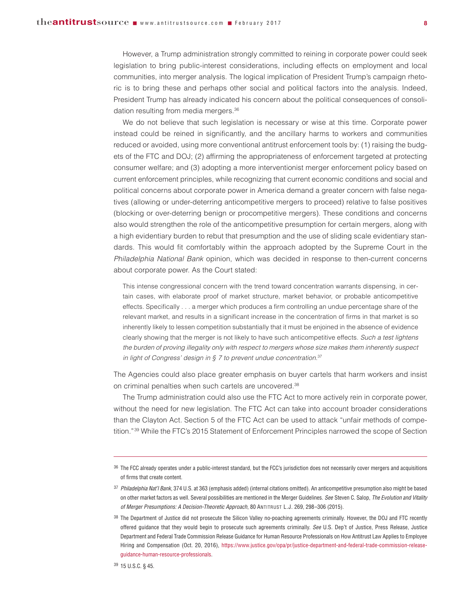However, a Trump administration strongly committed to reining in corporate power could seek legislation to bring public-interest considerations, including effects on employment and local communities, into merger analysis. The logical implication of President Trump's campaign rhetoric is to bring these and perhaps other social and political factors into the analysis. Indeed, President Trump has already indicated his concern about the political consequences of consolidation resulting from media mergers.36

We do not believe that such legislation is necessary or wise at this time. Corporate power instead could be reined in significantly, and the ancillary harms to workers and communities reduced or avoided, using more conventional antitrust enforcement tools by: (1) raising the budgets of the FTC and DOJ; (2) affirming the appropriateness of enforcement targeted at protecting consumer welfare; and (3) adopting a more interventionist merger enforcement policy based on current enforcement principles, while recognizing that current economic conditions and social and political concerns about corporate power in America demand a greater concern with false negatives (allowing or under-deterring anticompetitive mergers to proceed) relative to false positives (blocking or over-deterring benign or procompetitive mergers). These conditions and concerns also would strengthen the role of the anticompetitive presumption for certain mergers, along with a high evidentiary burden to rebut that presumption and the use of sliding scale evidentiary standards. This would fit comfortably within the approach adopted by the Supreme Court in the Philadelphia National Bank opinion, which was decided in response to then-current concerns about corporate power. As the Court stated:

This intense congressional concern with the trend toward concentration warrants dispensing, in certain cases, with elaborate proof of market structure, market behavior, or probable anticompetitive effects. Specifically . . . a merger which produces a firm controlling an undue percentage share of the relevant market, and results in a significant increase in the concentration of firms in that market is so inherently likely to lessen competition substantially that it must be enjoined in the absence of evidence clearly showing that the merger is not likely to have such anticompetitive effects. Such a test lightens the burden of proving illegality only with respect to mergers whose size makes them inherently suspect in light of Congress' design in  $\S$  7 to prevent undue concentration.<sup>37</sup>

The Agencies could also place greater emphasis on buyer cartels that harm workers and insist on criminal penalties when such cartels are uncovered.<sup>38</sup>

The Trump administration could also use the FTC Act to more actively rein in corporate power, without the need for new legislation. The FTC Act can take into account broader considerations than the Clayton Act. Section 5 of the FTC Act can be used to attack "unfair methods of competition."39 While the FTC's 2015 Statement of Enforcement Principles narrowed the scope of Section

<sup>36</sup> The FCC already operates under a public-interest standard, but the FCC's jurisdiction does not necessarily cover mergers and acquisitions of firms that create content.

<sup>37</sup> *Philadelphia Nat'l Bank*, 374 U.S. at 363 (emphasis added) (internal citations omitted). An anticompetitive presumption also might be based on other market factors as well. Several possibilities are mentioned in the Merger Guidelines. *See* Steven C. Salop, *The Evolution and Vitality of Merger Presumptions: A Decision-Theoretic Approach*, 80 ANTITRUST L.J. 269, 298–306 (2015).

<sup>&</sup>lt;sup>38</sup> The Department of Justice did not prosecute the Silicon Valley no-poaching agreements criminally. However, the DOJ and FTC recently offered guidance that they would begin to prosecute such agreements criminally. *See* U.S. Dep't of Justice, Press Release, Justice Department and Federal Trade Commission Release Guidance for Human Resource Professionals on How Antitrust Law Applies to Employee Hiring and Compensation (Oct. 20, 2016), [https://www.justice.gov/opa/pr/justice-department-and-federal-trade-commission-release](https://www.justice.gov/opa/pr/justice-department-and-federal-trade-commission-release-guidance-human-resource-professionals)[guidance-human-resource-professionals.](https://www.justice.gov/opa/pr/justice-department-and-federal-trade-commission-release-guidance-human-resource-professionals)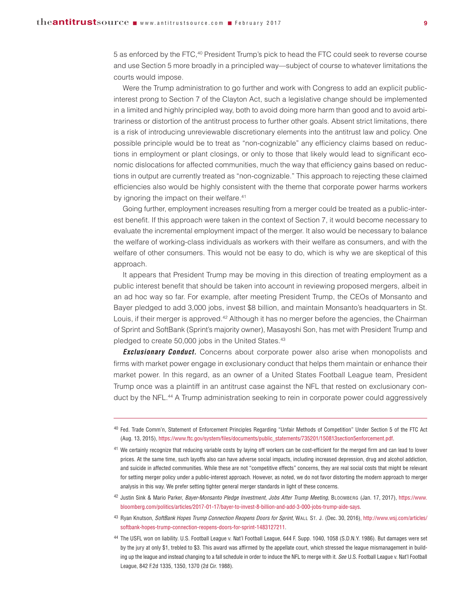5 as enforced by the FTC,40 President Trump's pick to head the FTC could seek to reverse course and use Section 5 more broadly in a principled way—subject of course to whatever limitations the courts would impose.

Were the Trump administration to go further and work with Congress to add an explicit publicinterest prong to Section 7 of the Clayton Act, such a legislative change should be implemented in a limited and highly principled way, both to avoid doing more harm than good and to avoid arbitrariness or distortion of the antitrust process to further other goals. Absent strict limitations, there is a risk of introducing unreviewable discretionary elements into the antitrust law and policy. One possible principle would be to treat as "non-cognizable" any efficiency claims based on reductions in employment or plant closings, or only to those that likely would lead to significant economic dislocations for affected communities, much the way that efficiency gains based on reductions in output are currently treated as "non-cognizable." This approach to rejecting these claimed efficiencies also would be highly consistent with the theme that corporate power harms workers by ignoring the impact on their welfare.<sup>41</sup>

Going further, employment increases resulting from a merger could be treated as a public-interest benefit. If this approach were taken in the context of Section 7, it would become necessary to evaluate the incremental employment impact of the merger. It also would be necessary to balance the welfare of working-class individuals as workers with their welfare as consumers, and with the welfare of other consumers. This would not be easy to do, which is why we are skeptical of this approach.

It appears that President Trump may be moving in this direction of treating employment as a public interest benefit that should be taken into account in reviewing proposed mergers, albeit in an ad hoc way so far. For example, after meeting President Trump, the CEOs of Monsanto and Bayer pledged to add 3,000 jobs, invest \$8 billion, and maintain Monsanto's headquarters in St. Louis, if their merger is approved.42 Although it has no merger before the agencies, the Chairman of Sprint and SoftBank (Sprint's majority owner), Masayoshi Son, has met with President Trump and pledged to create 50,000 jobs in the United States.<sup>43</sup>

*Exclusionary Conduct.* Concerns about corporate power also arise when monopolists and firms with market power engage in exclusionary conduct that helps them maintain or enhance their market power. In this regard, as an owner of a United States Football League team, President Trump once was a plaintiff in an antitrust case against the NFL that rested on exclusionary conduct by the NFL.<sup>44</sup> A Trump administration seeking to rein in corporate power could aggressively

<sup>40</sup> Fed. Trade Comm'n, Statement of Enforcement Principles Regarding "Unfair Methods of Competition" Under Section 5 of the FTC Act (Aug. 13, 2015), https://www.ftc.gov/system/files/documents/public\_statements/735201/150813section5enforcement.pdf.

<sup>41</sup> We certainly recognize that reducing variable costs by laying off workers can be cost-efficient for the merged firm and can lead to lower prices. At the same time, such layoffs also can have adverse social impacts, including increased depression, drug and alcohol addiction, and suicide in affected communities. While these are not "competitive effects" concerns, they are real social costs that might be relevant for setting merger policy under a public-interest approach. However, as noted, we do not favor distorting the modern approach to merger analysis in this way. We prefer setting tighter general merger standards in light of these concerns.

<sup>42</sup> Justin Sink & Mario Parker, *Bayer-Monsanto Pledge Investment, Jobs After Trump Meeting*, BLOOMBERG (Jan. 17, 2017), [https://www.](https://www.bloomberg.com/politics/articles/2017-01-17/bayer-to-invest-8-billion-and-add-3-000-jobs-trump-aide-says) [bloomberg.com/politics/articles/2017-01-17/bayer-to-invest-8-billion-and-add-3-000-jobs-trump-aide-says.](https://www.bloomberg.com/politics/articles/2017-01-17/bayer-to-invest-8-billion-and-add-3-000-jobs-trump-aide-says)

<sup>43</sup> Ryan Knutson, *SoftBank Hopes Trump Connection Reopens Doors for Sprint*, WALL ST. J. (Dec. 30, 2016), [http://www.wsj.com/articles/](http://www.wsj.com/articles/softbank-hopes-trump-connection-reopens-doors-for-sprint-1483127211) [softbank-hopes-trump-connection-reopens-doors-for-sprint-1483127211.](http://www.wsj.com/articles/softbank-hopes-trump-connection-reopens-doors-for-sprint-1483127211)

<sup>44</sup> The USFL won on liability. U.S. Football League v. Nat'l Football League, 644 F. Supp. 1040, 1058 (S.D.N.Y. 1986). But damages were set by the jury at only \$1, trebled to \$3. This award was affirmed by the appellate court, which stressed the league mismanagement in building up the league and instead changing to a fall schedule in order to induce the NFL to merge with it. *See* U.S. Football League v. Nat'l Football League, 842 F.2d 1335, 1350, 1370 (2d Cir. 1988).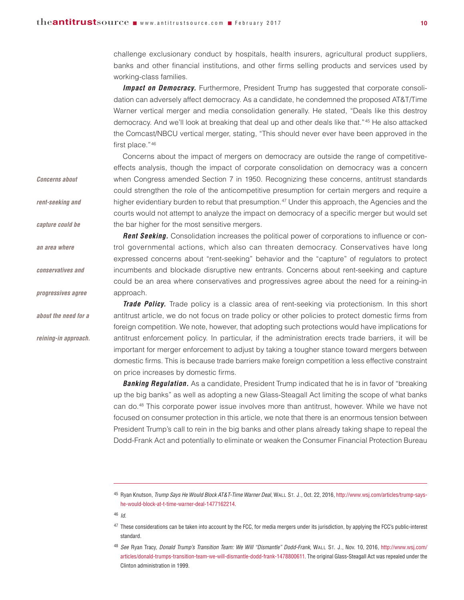challenge exclusionary conduct by hospitals, health insurers, agricultural product suppliers, banks and other financial institutions, and other firms selling products and services used by working-class families.

**Impact on Democracy.** Furthermore, President Trump has suggested that corporate consolidation can adversely affect democracy. As a candidate, he condemned the proposed AT&T/Time Warner vertical merger and media consolidation generally. He stated, "Deals like this destroy democracy. And we'll look at breaking that deal up and other deals like that."45 He also attacked the Comcast/NBCU vertical merger, stating, "This should never ever have been approved in the first place."<sup>46</sup>

Concerns about the impact of mergers on democracy are outside the range of competitiveeffects analysis, though the impact of corporate consolidation on democracy was a concern when Congress amended Section 7 in 1950. Recognizing these concerns, antitrust standards could strengthen the role of the anticompetitive presumption for certain mergers and require a higher evidentiary burden to rebut that presumption.<sup>47</sup> Under this approach, the Agencies and the courts would not attempt to analyze the impact on democracy of a specific merger but would set the bar higher for the most sensitive mergers.

**Rent Seeking.** Consolidation increases the political power of corporations to influence or control governmental actions, which also can threaten democracy. Conservatives have long expressed concerns about "rent-seeking" behavior and the "capture" of regulators to protect incumbents and blockade disruptive new entrants. Concerns about rent-seeking and capture could be an area where conservatives and progressives agree about the need for a reining-in approach. *progressives agree*

> **Trade Policy.** Trade policy is a classic area of rent-seeking via protectionism. In this short antitrust article, we do not focus on trade policy or other policies to protect domestic firms from foreign competition. We note, however, that adopting such protections would have implications for antitrust enforcement policy. In particular, if the administration erects trade barriers, it will be important for merger enforcement to adjust by taking a tougher stance toward mergers between domestic firms. This is because trade barriers make foreign competition a less effective constraint on price increases by domestic firms.

> **Banking Regulation.** As a candidate, President Trump indicated that he is in favor of "breaking up the big banks" as well as adopting a new Glass-Steagall Act limiting the scope of what banks can do.48 This corporate power issue involves more than antitrust, however. While we have not focused on consumer protection in this article, we note that there is an enormous tension between President Trump's call to rein in the big banks and other plans already taking shape to repeal the Dodd-Frank Act and potentially to eliminate or weaken the Consumer Financial Protection Bureau

*Concerns about* 

*rent-seeking and* 

*capture could be* 

*an area where* 

*conservatives and* 

*about the need for a*

*reining-in approach.*

<sup>45</sup> Ryan Knutson, *Trump Says He Would Block AT&T-Time Warner Deal*, WALL ST. J., Oct. 22, 2016, http://www.wsj.com/articles/trump-sayshe-would-block-at-t-time-warner-deal-1477162214.

<sup>46</sup> *Id.*

 $47$  These considerations can be taken into account by the FCC, for media mergers under its jurisdiction, by applying the FCC's public-interest standard.

<sup>48</sup> *See* Ryan Tracy, *Donald Trump's Transition Team: We Will "Dismantle" Dodd-Frank*, WALL ST. J., Nov. 10, 2016, [http://www.wsj.com/](http://www.wsj.com/articles/donald-trumps-transition-team-we-will-dismantle-dodd-frank-1478800611) [articles/donald-trumps-transition-team-we-will-dismantle-dodd-frank-1478800611.](http://www.wsj.com/articles/donald-trumps-transition-team-we-will-dismantle-dodd-frank-1478800611) The original Glass-Steagall Act was repealed under the Clinton administration in 1999.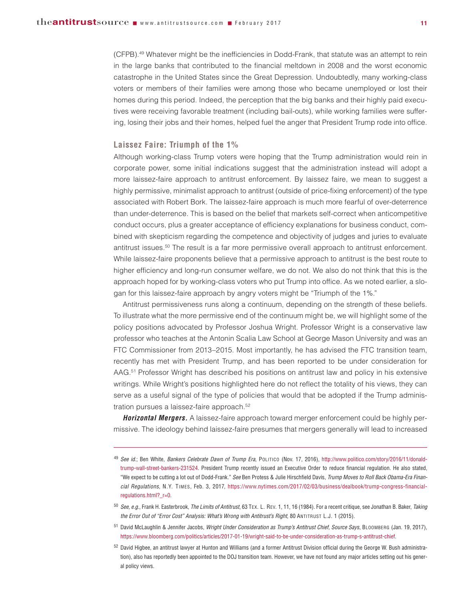(CFPB).49 Whatever might be the inefficiencies in Dodd-Frank, that statute was an attempt to rein in the large banks that contributed to the financial meltdown in 2008 and the worst economic catastrophe in the United States since the Great Depression. Undoubtedly, many working-class voters or members of their families were among those who became unemployed or lost their homes during this period. Indeed, the perception that the big banks and their highly paid executives were receiving favorable treatment (including bail-outs), while working families were suffering, losing their jobs and their homes, helped fuel the anger that President Trump rode into office.

### **Laissez Faire: Triumph of the 1%**

Although working-class Trump voters were hoping that the Trump administration would rein in corporate power, some initial indications suggest that the administration instead will adopt a more laissez-faire approach to antitrust enforcement. By laissez faire, we mean to suggest a highly permissive, minimalist approach to antitrust (outside of price-fixing enforcement) of the type associated with Robert Bork. The laissez-faire approach is much more fearful of over-deterrence than under-deterrence. This is based on the belief that markets self-correct when anticompetitive conduct occurs, plus a greater acceptance of efficiency explanations for business conduct, combined with skepticism regarding the competence and objectivity of judges and juries to evaluate antitrust issues.50 The result is a far more permissive overall approach to antitrust enforcement. While laissez-faire proponents believe that a permissive approach to antitrust is the best route to higher efficiency and long-run consumer welfare, we do not. We also do not think that this is the approach hoped for by working-class voters who put Trump into office. As we noted earlier, a slogan for this laissez-faire approach by angry voters might be "Triumph of the 1%."

Antitrust permissiveness runs along a continuum, depending on the strength of these beliefs. To illustrate what the more permissive end of the continuum might be, we will highlight some of the policy positions advocated by Professor Joshua Wright. Professor Wright is a conservative law professor who teaches at the Antonin Scalia Law School at George Mason University and was an FTC Commissioner from 2013–2015. Most importantly, he has advised the FTC transition team, recently has met with President Trump, and has been reported to be under consideration for AAG.51 Professor Wright has described his positions on antitrust law and policy in his extensive writings. While Wright's positions highlighted here do not reflect the totality of his views, they can serve as a useful signal of the type of policies that would that be adopted if the Trump administration pursues a laissez-faire approach.<sup>52</sup>

*Horizontal Mergers.* A laissez-faire approach toward merger enforcement could be highly permissive. The ideology behind laissez-faire presumes that mergers generally will lead to increased

- <sup>50</sup> *See, e.g.*, Frank H. Easterbrook, *The Limits of Antitrust*, 63 TEX. L. REV. 1, 11, 16 (1984). For a recent critique, see Jonathan B. Baker, *Taking the Error Out of "Error Cost" Analysis: What's Wrong with Antitrust's Right*, 80 ANTITRUST L.J. 1 (2015).
- <sup>51</sup> David McLaughlin & Jennifer Jacobs, *Wright Under Consideration as Trump's Antitrust Chief, Source Says*, BLOOMBERG (Jan. 19, 2017), https://www.bloomberg.com/politics/articles/2017-01-19/wright-said-to-be-under-consideration-as-trump-s-antitrust-chief.

<sup>49</sup> *See id.*; Ben White, *Bankers Celebrate Dawn of Trump Era*, POLITICO (Nov. 17, 2016), http://www.politico.com/story/2016/11/donaldtrump-wall-street-bankers-231524. President Trump recently issued an Executive Order to reduce financial regulation. He also stated, "We expect to be cutting a lot out of Dodd-Frank." *See* Ben Protess & Julie Hirschfield Davis, *Trump Moves to Roll Back Obama-Era Finan cial Regulations*, N.Y. TIMES, Feb. 3, 2017, [https://www.nytimes.com/2017/02/03/business/dealbook/trump-congress-financial](https://www.nytimes.com/2017/02/03/business/dealbook/trump-congress-financial-regulations.html?_r=0%E2%80%8B)[regulations.html?\\_r=0 .](https://www.nytimes.com/2017/02/03/business/dealbook/trump-congress-financial-regulations.html?_r=0%E2%80%8B)

<sup>52</sup> David Higbee, an antitrust lawyer at Hunton and Williams (and a former Antitrust Division official during the George W. Bush administration), also has reportedly been appointed to the DOJ transition team. However, we have not found any major articles setting out his general policy views.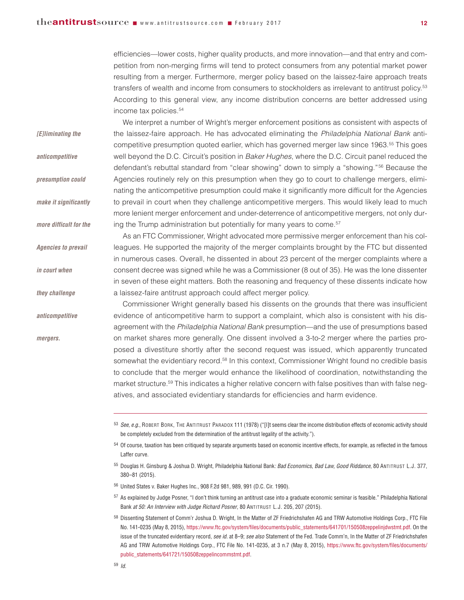efficiencies—lower costs, higher quality products, and more innovation—and that entry and competition from non-merging firms will tend to protect consumers from any potential market power resulting from a merger. Furthermore, merger policy based on the laissez-faire approach treats transfers of wealth and income from consumers to stockholders as irrelevant to antitrust policy.53 According to this general view, any income distribution concerns are better addressed using income tax policies.54

We interpret a number of Wright's merger enforcement positions as consistent with aspects of the laissez-faire approach. He has advocated eliminating the Philadelphia National Bank anticompetitive presumption quoted earlier, which has governed merger law since 1963.55 This goes well beyond the D.C. Circuit's position in Baker Hughes, where the D.C. Circuit panel reduced the defendant's rebuttal standard from "clear showing" down to simply a "showing."56 Because the Agencies routinely rely on this presumption when they go to court to challenge mergers, eliminating the anticompetitive presumption could make it significantly more difficult for the Agencies to prevail in court when they challenge anticompetitive mergers. This would likely lead to much more lenient merger enforcement and under-deterrence of anticompetitive mergers, not only during the Trump administration but potentially for many years to come.<sup>57</sup> *[E]liminating the anticompetitive presumption could make it significantly more difficult for the*

> As an FTC Commissioner, Wright advocated more permissive merger enforcement than his colleagues. He supported the majority of the merger complaints brought by the FTC but dissented in numerous cases. Overall, he dissented in about 23 percent of the merger complaints where a consent decree was signed while he was a Commissioner (8 out of 35). He was the lone dissenter in seven of these eight matters. Both the reasoning and frequency of these dissents indicate how a laissez-faire antitrust approach could affect merger policy.

Commissioner Wright generally based his dissents on the grounds that there was insufficient evidence of anticompetitive harm to support a complaint, which also is consistent with his disagreement with the Philadelphia National Bank presumption—and the use of presumptions based on market shares more generally. One dissent involved a 3-to-2 merger where the parties proposed a divestiture shortly after the second request was issued, which apparently truncated somewhat the evidentiary record.<sup>58</sup> In this context, Commissioner Wright found no credible basis to conclude that the merger would enhance the likelihood of coordination, notwithstanding the market structure.<sup>59</sup> This indicates a higher relative concern with false positives than with false negatives, and associated evidentiary standards for efficiencies and harm evidence.

- <sup>55</sup> Douglas H. Ginsburg & Joshua D. Wright, Philadelphia National Bank*: Bad Economics, Bad Law, Good Riddance*, 80 ANTITRUST L.J. 377, 380–81 (2015).
- <sup>56</sup> United States v. Baker Hughes Inc., 908 F.2d 981, 989, 991 (D.C. Cir. 1990).
- <sup>57</sup> As explained by Judge Posner, "I don't think turning an antitrust case into a graduate economic seminar is feasible." Philadelphia National Bank *at 50: An Interview with Judge Richard Posner*, 80 ANTITRUST L.J. 205, 207 (2015).
- <sup>58</sup> Dissenting Statement of Comm'r Joshua D. Wright, In the Matter of ZF Friedrichshafen AG and TRW Automotive Holdings Corp., FTC File No. 141-0235 (May 8, 2015), https://www.ftc.gov/system/files/documents/public\_statements/641701/150508zeppelinjdwstmt.pdf. On the issue of the truncated evidentiary record, *see id.* at 8–9; *see also* Statement of the Fed. Trade Comm'n, In the Matter of ZF Friedrichshafen AG and TRW Automotive Holdings Corp., FTC File No. 141-0235, at 3 n.7 (May 8, 2015), [https://www.ftc.gov/system/files/documents/](https://www.ftc.gov/system/files/documents/public_statements/641721/150508zeppelincommstmt.pdf) [public\\_statements/641721/150508zeppelincommstmt.pdf.](https://www.ftc.gov/system/files/documents/public_statements/641721/150508zeppelincommstmt.pdf)

*Agencies to prevail* 

*in court when* 

*they challenge* 

*anticompetitive* 

*mergers.* 

<sup>53</sup> *See, e.g.*, ROBERT BORK, THE ANTITRUST PARADOX 111 (1978) ("[I]t seems clear the income distribution effects of economic activity should be completely excluded from the determination of the antitrust legality of the activity.").

<sup>54</sup> Of course, taxation has been critiqued by separate arguments based on economic incentive effects, for example, as reflected in the famous Laffer curve.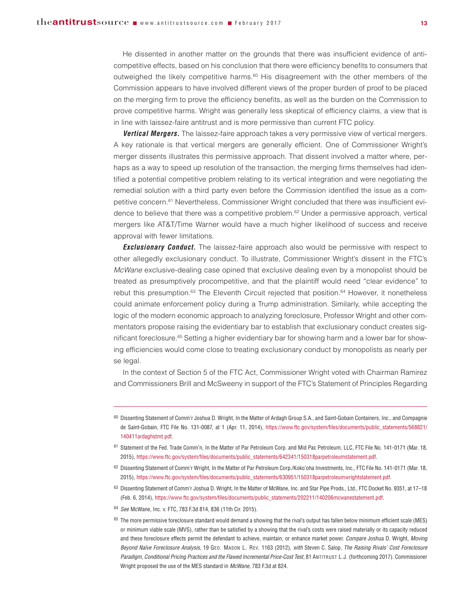He dissented in another matter on the grounds that there was insufficient evidence of anticompetitive effects, based on his conclusion that there were efficiency benefits to consumers that outweighed the likely competitive harms. $60$  His disagreement with the other members of the Commission appears to have involved different views of the proper burden of proof to be placed on the merging firm to prove the efficiency benefits, as well as the burden on the Commission to prove competitive harms. Wright was generally less skeptical of efficiency claims, a view that is in line with laissez-faire antitrust and is more permissive than current FTC policy.

**Vertical Mergers.** The laissez-faire approach takes a very permissive view of vertical mergers. A key rationale is that vertical mergers are generally efficient. One of Commissioner Wright's merger dissents illustrates this permissive approach. That dissent involved a matter where, perhaps as a way to speed up resolution of the transaction, the merging firms themselves had identified a potential competitive problem relating to its vertical integration and were negotiating the remedial solution with a third party even before the Commission identified the issue as a competitive concern.<sup>61</sup> Nevertheless, Commissioner Wright concluded that there was insufficient evidence to believe that there was a competitive problem.<sup>62</sup> Under a permissive approach, vertical mergers like AT&T/Time Warner would have a much higher likelihood of success and receive approval with fewer limitations.

**Exclusionary Conduct.** The laissez-faire approach also would be permissive with respect to other allegedly exclusionary conduct. To illustrate, Commissioner Wright's dissent in the FTC's McWane exclusive-dealing case opined that exclusive dealing even by a monopolist should be treated as presumptively procompetitive, and that the plaintiff would need "clear evidence" to rebut this presumption.<sup>63</sup> The Eleventh Circuit rejected that position.<sup>64</sup> However, it nonetheless could animate enforcement policy during a Trump administration. Similarly, while accepting the logic of the modern economic approach to analyzing foreclosure, Professor Wright and other commentators propose raising the evidentiary bar to establish that exclusionary conduct creates significant foreclosure.65 Setting a higher evidentiary bar for showing harm and a lower bar for showing efficiencies would come close to treating exclusionary conduct by monopolists as nearly per se legal.

In the context of Section 5 of the FTC Act, Commissioner Wright voted with Chairman Ramirez and Commissioners Brill and McSweeny in support of the FTC's Statement of Principles Regarding

<sup>60</sup> Dissenting Statement of Comm'r Joshua D. Wright, In the Matter of Ardagh Group S.A., and Saint-Gobain Containers, Inc., and Compagnie de Saint-Gobain, FTC File No. 131-0087, at 1 (Apr. 11, 2014), [https://www.ftc.gov/system/files/documents/public\\_statements/568821/](https://www.ftc.gov/system/files/documents/public_statements/568821/140411ardaghstmt.pdf) [140411ardaghstmt.pdf.](https://www.ftc.gov/system/files/documents/public_statements/568821/140411ardaghstmt.pdf)

<sup>61</sup> Statement of the Fed. Trade Comm'n, In the Matter of Par Petroleum Corp. and Mid Pac Petroleum, LLC, FTC File No. 141-0171 (Mar. 18, 2015), https://www.ftc.gov/system/files/documents/public\_statements/642341/150318parpetroleumstatement.pdf.

<sup>62</sup> Dissenting Statement of Comm'r Wright, In the Matter of Par Petroleum Corp./Koko'oha Investments, Inc., FTC File No. 141-0171 (Mar. 18, 2015), https://www.ftc.gov/system/files/documents/public\_statements/630951/150318parpetroleumwrightstatement.pdf.

<sup>63</sup> Dissenting Statement of Comm'r Joshua D. Wright, In the Matter of McWane, Inc. and Star Pipe Prods., Ltd., FTC Docket No. 9351, at 17–18 (Feb. 6, 2014), https://www.ftc.gov/system/files/documents/public\_statements/202211/140206mcwanestatement.pdf.

<sup>64</sup> *See* McWane, Inc. v. FTC, 783 F.3d 814, 836 (11th Cir. 2015).

<sup>65</sup> The more permissive foreclosure standard would demand a showing that the rival's output has fallen below minimum efficient scale (MES) or minimum viable scale (MVS), rather than be satisfied by a showing that the rival's costs were raised materially or its capacity reduced and these foreclosure effects permit the defendant to achieve, maintain, or enhance market power. *Compare* Joshua D. Wright, *Moving Beyond Naïve Foreclosure Analysis*, 19 GEO. MASON L. REV. 1163 (2012), *with* Steven C. Salop, *The Raising Rivals' Cost Foreclosure Paradigm, Conditional Pricing Practices and the Flawed Incremental Price-Cost Test*, 81 ANTITRUST L.J. (forthcoming 2017). Commissioner Wright proposed the use of the MES standard in *McWane*, 783 F.3d at 824.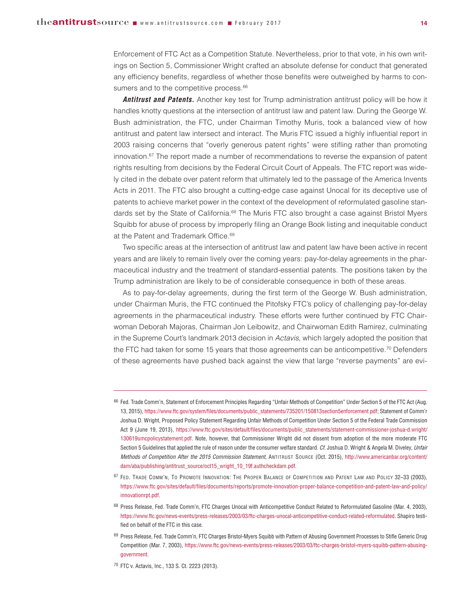Enforcement of FTC Act as a Competition Statute. Nevertheless, prior to that vote, in his own writings on Section 5, Commissioner Wright crafted an absolute defense for conduct that generated any efficiency benefits, regardless of whether those benefits were outweighed by harms to consumers and to the competitive process.<sup>66</sup>

*Antitrust and Patents.* Another key test for Trump administration antitrust policy will be how it handles knotty questions at the intersection of antitrust law and patent law. During the George W. Bush administration, the FTC, under Chairman Timothy Muris, took a balanced view of how antitrust and patent law intersect and interact. The Muris FTC issued a highly influential report in 2003 raising concerns that "overly generous patent rights" were stifling rather than promoting innovation.<sup>67</sup> The report made a number of recommendations to reverse the expansion of patent rights resulting from decisions by the Federal Circuit Court of Appeals. The FTC report was widely cited in the debate over patent reform that ultimately led to the passage of the America Invents Acts in 2011. The FTC also brought a cutting-edge case against Unocal for its deceptive use of patents to achieve market power in the context of the development of reformulated gasoline standards set by the State of California.<sup>68</sup> The Muris FTC also brought a case against Bristol Myers Squibb for abuse of process by improperly filing an Orange Book listing and inequitable conduct at the Patent and Trademark Office.<sup>69</sup>

Two specific areas at the intersection of antitrust law and patent law have been active in recent years and are likely to remain lively over the coming years: pay-for-delay agreements in the pharmaceutical industry and the treatment of standard-essential patents. The positions taken by the Trump administration are likely to be of considerable consequence in both of these areas.

As to pay-for-delay agreements, during the first term of the George W. Bush administration, under Chairman Muris, the FTC continued the Pitofsky FTC's policy of challenging pay-for-delay agreements in the pharmaceutical industry. These efforts were further continued by FTC Chair woman Deborah Majoras, Chairman Jon Leibowitz, and Chairwoman Edith Ramirez, culminating in the Supreme Court's landmark 2013 decision in Actavis, which largely adopted the position that the FTC had taken for some 15 years that those agreements can be anticompetitive.<sup>70</sup> Defenders of these agreements have pushed back against the view that large "reverse payments" are evi-

<sup>66</sup> Fed. Trade Comm'n, Statement of Enforcement Principles Regarding "Unfair Methods of Competition" Under Section 5 of the FTC Act (Aug. 13, 2015), https://www.ftc.gov/system/files/documents/public\_statements/735201/150813section5enforcement.pdf; Statement of Comm'r Joshua D. Wright, Proposed Policy Statement Regarding Unfair Methods of Competition Under Section 5 of the Federal Trade Commission Act 9 (June 19, 2013), [https://www.ftc.gov/sites/default/files/documents/public\\_statements/statement-commissioner-joshua-d.wright/](https://www.ftc.gov/sites/default/files/documents/public_statements/statement-commissioner-joshua-d.wright/130619umcpolicystatement.pdf) [130619umcpolicystatement.pdf.](https://www.ftc.gov/sites/default/files/documents/public_statements/statement-commissioner-joshua-d.wright/130619umcpolicystatement.pdf) Note, however, that Commissioner Wright did not dissent from adoption of the more moderate FTC Section 5 Guidelines that applied the rule of reason under the consumer welfare standard. *Cf.* Joshua D. Wright & Angela M. Diveley, *Unfair Methods of Competition After the 2015 Commission Statement*, ANTITRUST SOURCE (Oct. 2015), [http://www.americanbar.org/content/](http://www.americanbar.org/content/dam/aba/publishing/antitrust_source/oct15_wright_10_19f.authcheckdam.pdf) [dam/aba/publishing/antitrust\\_source/oct15\\_wright\\_10\\_19f.authcheckdam.pdf.](http://www.americanbar.org/content/dam/aba/publishing/antitrust_source/oct15_wright_10_19f.authcheckdam.pdf)

<sup>67</sup> FED. TRADE COMM'N, TO PROMOTE INNOVATION: THE PROPER BALANCE OF COMPETITION AND PATENT LAW AND POLICY 32–33 (2003), [https://www.ftc.gov/sites/default/files/documents/reports/promote-innovation-proper-balance-competition-and-patent-law-and-policy/](https://www.ftc.gov/sites/default/files/documents/reports/promote-innovation-proper-balance-competition-and-patent-law-and-policy/innovationrpt.pdf) [innovationrpt.pdf.](https://www.ftc.gov/sites/default/files/documents/reports/promote-innovation-proper-balance-competition-and-patent-law-and-policy/innovationrpt.pdf)

<sup>68</sup> Press Release, Fed. Trade Comm'n, FTC Charges Unocal with Anticompetitive Conduct Related to Reformulated Gasoline (Mar. 4, 2003), https://www.ftc.gov/news-events/press-releases/2003/03/ftc-charges-unocal-anticompetitive-conduct-related-reformulated. Shapiro testified on behalf of the FTC in this case.

<sup>69</sup> Press Release, Fed. Trade Comm'n, FTC Charges Bristol-Myers Squibb with Pattern of Abusing Government Processes to Stifle Generic Drug Competition (Mar. 7, 2003), https://www.ftc.gov/news-events/press-releases/2003/03/ftc-charges-bristol-myers-squibb-pattern-abusinggovernment.

<sup>70</sup> FTC v. Actavis, Inc., 133 S. Ct. 2223 (2013).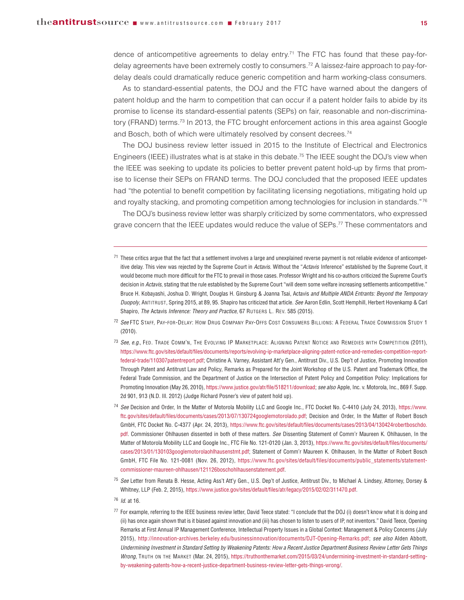dence of anticompetitive agreements to delay entry.71 The FTC has found that these pay-fordelay agreements have been extremely costly to consumers.72 A laissez-faire approach to pay-fordelay deals could dramatically reduce generic competition and harm working-class consumers.

As to standard-essential patents, the DOJ and the FTC have warned about the dangers of patent holdup and the harm to competition that can occur if a patent holder fails to abide by its promise to license its standard-essential patents (SEPs) on fair, reasonable and non-discriminatory (FRAND) terms.<sup>73</sup> In 2013, the FTC brought enforcement actions in this area against Google and Bosch, both of which were ultimately resolved by consent decrees.<sup>74</sup>

The DOJ business review letter issued in 2015 to the Institute of Electrical and Electronics Engineers (IEEE) illustrates what is at stake in this debate.<sup>75</sup> The IEEE sought the DOJ's view when the IEEE was seeking to update its policies to better prevent patent hold-up by firms that promise to license their SEPs on FRAND terms. The DOJ concluded that the proposed IEEE updates had "the potential to benefit competition by facilitating licensing negotiations, mitigating hold up and royalty stacking, and promoting competition among technologies for inclusion in standards."76

The DOJ's business review letter was sharply criticized by some commentators, who expressed grave concern that the IEEE updates would reduce the value of SEPs.<sup>77</sup> These commentators and

- <sup>72</sup> *See* FTC STAFF, PAY-FOR-DELAY: HOW DRUG COMPANY PAY-OFFS COST CONSUMERS BILLIONS: A FEDERAL TRADE COMMISSION STUDY 1 (2010).
- <sup>73</sup> *See, e.g.*, FED. TRADE COMM'N, THE EVOLVING IP MARKETPLACE: ALIGNING PATENT NOTICE AND REMEDIES WITH COMPETITION (2011), https://www.ftc.gov/sites/default/files/documents/reports/evolving-ip-marketplace-aligning-patent-notice-and-remedies-competition-reportfederal-trade/110307patentreport.pdf; Christine A. Varney, Assistant Att'y Gen., Antitrust Div., U.S. Dep't of Justice, Promoting Innovation Through Patent and Antitrust Law and Policy, Remarks as Prepared for the Joint Workshop of the U.S. Patent and Trademark Office, the Federal Trade Commission, and the Department of Justice on the Intersection of Patent Policy and Competition Policy: Implications for Promoting Innovation (May 26, 2010), https://www.justice.gov/atr/file/518211/download; *see also* Apple, Inc. v. Motorola, Inc., 869 F. Supp. 2d 901, 913 (N.D. Ill. 2012) (Judge Richard Posner's view of patent hold up).
- <sup>74</sup> *See* Decision and Order, In the Matter of Motorola Mobility LLC and Google Inc., FTC Docket No. C-4410 (July 24, 2013), [https://www.](https://www.ftc.gov/sites/default/files/documents/cases/2013/07/130724googlemotorolado.pdf) [ftc.gov/sites/default/files/documents/cases/2013/07/130724googlemotorolado.pdf;](https://www.ftc.gov/sites/default/files/documents/cases/2013/07/130724googlemotorolado.pdf) Decision and Order, In the Matter of Robert Bosch GmbH, FTC Docket No. C-4377 (Apr. 24, 2013), [https://www.ftc.gov/sites/default/files/documents/cases/2013/04/130424robertboschdo.](https://www.ftc.gov/sites/default/files/documents/cases/2013/04/130424robertboschdo.pdf) [pdf.](https://www.ftc.gov/sites/default/files/documents/cases/2013/04/130424robertboschdo.pdf) Commissioner Ohlhausen dissented in both of these matters. *See* Dissenting Statement of Comm'r Maureen K. Ohlhausen, In the Matter of Motorola Mobility LLC and Google Inc., FTC File No. 121-0120 (Jan. 3, 2013), [https://www.ftc.gov/sites/default/files/documents/](https://www.ftc.gov/sites/default/files/documents/cases/2013/01/130103googlemotorolaohlhausenstmt.pdf) [cases/2013/01/130103googlemotorolaohlhausenstmt.pdf;](https://www.ftc.gov/sites/default/files/documents/cases/2013/01/130103googlemotorolaohlhausenstmt.pdf) Statement of Comm'r Maureen K. Ohlhausen, In the Matter of Robert Bosch GmbH, FTC File No. 121-0081 (Nov. 26, 2012), [https://www.ftc.gov/sites/default/files/documents/public\\_statements/statement](https://www.ftc.gov/sites/default/files/documents/public_statements/statement-commissioner-maureen-ohlhausen/121126boschohlhausenstatement.pdf)[commissioner-maureen-ohlhausen/121126boschohlhausenstatement.pdf.](https://www.ftc.gov/sites/default/files/documents/public_statements/statement-commissioner-maureen-ohlhausen/121126boschohlhausenstatement.pdf)
- <sup>75</sup> *See* Letter from Renata B. Hesse, Acting Ass't Att'y Gen., U.S. Dep't of Justice, Antitrust Div., to Michael A. Lindsey, Attorney, Dorsey & Whitney, LLP (Feb. 2, 2015), https://www.justice.gov/sites/default/files/atr/legacy/2015/02/02/311470.pdf.
- <sup>76</sup> *Id.* at 16.
- <sup>77</sup> For example, referring to the IEEE business review letter, David Teece stated: "I conclude that the DOJ (i) doesn't know what it is doing and (ii) has once again shown that is it biased against innovation and (iii) has chosen to listen to users of IP, not inventors." David Teece, Opening Remarks at First Annual IP Management Conference, Intellectual Property Issues in a Global Context: Management & Policy Concerns (July 2015), http://innovation-archives.berkeley.edu/businessinnovation/documents/DJT-Opening-Remarks.pdf; *see also* Alden Abbott, *Undermining Investment in Standard Setting by Weakening Patents: How a Recent Justice Department Business Review Letter Gets Things Wrong*, TRUTH ON THE MARKET (Mar. 24, 2015), https://truthonthemarket.com/2015/03/24/undermining-investment-in-standard-settingby-weakening-patents-how-a-recent-justice-department-business-review-letter-gets-things-wrong/.

 $71$  These critics argue that the fact that a settlement involves a large and unexplained reverse payment is not reliable evidence of anticompetitive delay. This view was rejected by the Supreme Court in *Actavis*. Without the "*Actavis* Inference" established by the Supreme Court, it would become much more difficult for the FTC to prevail in those cases. Professor Wright and his co-authors criticized the Supreme Court's decision in *Actavis*, stating that the rule established by the Supreme Court "will deem some welfare increasing settlements anticompetitive." Bruce H. Kobayashi, Joshua D. Wright, Douglas H. Ginsburg & Joanna Tsai, Actavis *and Multiple ANDA Entrants: Beyond the Temporary Duopoly*, ANTITRUST, Spring 2015, at 89, 95. Shapiro has criticized that article. *See* Aaron Edlin, Scott Hemphill, Herbert Hovenkamp & Carl Shapiro, *The* Actavis *Inference: Theory and Practice*, 67 RUTGERS L. REV. 585 (2015).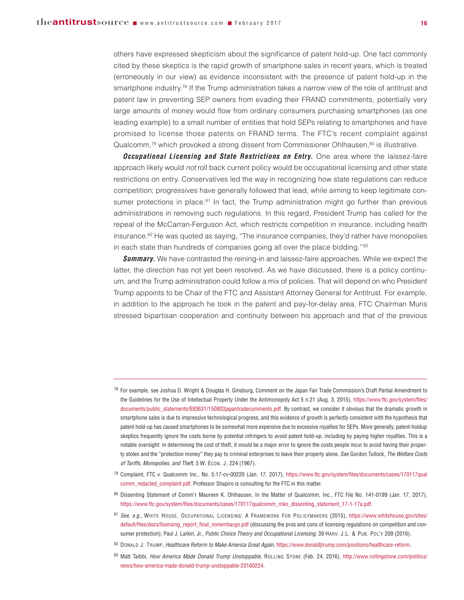others have expressed skepticism about the significance of patent hold-up. One fact commonly cited by these skeptics is the rapid growth of smartphone sales in recent years, which is treated (erroneously in our view) as evidence inconsistent with the presence of patent hold-up in the smartphone industry.<sup>78</sup> If the Trump administration takes a narrow view of the role of antitrust and patent law in preventing SEP owners from evading their FRAND commitments, potentially very large amounts of money would flow from ordinary consumers purchasing smartphones (as one leading example) to a small number of entities that hold SEPs relating to smartphones and have promised to license those patents on FRAND terms. The FTC's recent complaint against Qualcomm,<sup>79</sup> which provoked a strong dissent from Commissioner Ohlhausen,<sup>80</sup> is illustrative.

*Occupational Licensing and State Restrictions on Entry.* One area where the laissez-faire approach likely would not roll back current policy would be occupational licensing and other state restrictions on entry. Conservatives led the way in recognizing how state regulations can reduce competition; progressives have generally followed that lead, while aiming to keep legitimate consumer protections in place. $81$  In fact, the Trump administration might go further than previous administrations in removing such regulations. In this regard, President Trump has called for the repeal of the McCarran-Ferguson Act, which restricts competition in insurance, including health insurance. $82$  He was quoted as saying, "The insurance companies, they'd rather have monopolies in each state than hundreds of companies going all over the place bidding."<sup>83</sup>

**Summary.** We have contrasted the reining-in and laissez-faire approaches. While we expect the latter, the direction has not yet been resolved. As we have discussed, there is a policy continuum, and the Trump administration could follow a mix of policies. That will depend on who President Trump appoints to be Chair of the FTC and Assistant Attorney General for Antitrust. For example, in addition to the approach he took in the patent and pay-for-delay area, FTC Chairman Muris stressed bipartisan cooperation and continuity between his approach and that of the previous

- <sup>78</sup> For example, see Joshua D. Wright & Douglas H. Ginsburg, Comment on the Japan Fair Trade Commission's Draft Partial Amendment to the Guidelines for the Use of Intellectual Property Under the Antimonopoly Act 5 n.21 (Aug. 3, 2015), [https://www.ftc.gov/system/files/](https://www.ftc.gov/system/files/documents/public_statements/693631/150803japantradecomments.pdf) [documents/public\\_statements/693631/150803japantradecomments.pdf.](https://www.ftc.gov/system/files/documents/public_statements/693631/150803japantradecomments.pdf) By contrast, we consider it obvious that the dramatic growth in smartphone sales is due to impressive technological progress, and this evidence of growth is perfectly consistent with the hypothesis that patent hold-up has caused smartphones to be somewhat more expensive due to excessive royalties for SEPs. More generally, patent-holdup skeptics frequently ignore the costs borne by potential infringers to *avoid* patent hold-up, including by paying higher royalties. This is a notable oversight: in determining the cost of theft, it would be a major error to ignore the costs people incur to avoid having their property stolen and the "protection money" they pay to criminal enterprises to leave their property alone. *See* Gordon Tullock, *The Welfare Costs of Tariffs, Monopolies, and Theft*, 5 W. ECON. J. 224 (1967).
- <sup>79</sup> Complaint, FTC v. Qualcomm Inc., No. 5:17-cv-00220 (Jan. 17, 2017), [https://www.ftc.gov/system/files/documents/cases/170117qual](https://www.ftc.gov/system/files/documents/cases/170117qualcomm_redacted_complaint.pdf) [comm\\_redacted\\_complaint.pdf.](https://www.ftc.gov/system/files/documents/cases/170117qualcomm_redacted_complaint.pdf) Professor Shapiro is consulting for the FTC in this matter.
- 80 Dissenting Statement of Comm'r Maureen K. Ohlhausen, In the Matter of Qualcomm, Inc., FTC File No. 141-0199 (Jan. 17, 2017), https://www.ftc.gov/system/files/documents/cases/170117qualcomm\_mko\_dissenting\_statement\_17-1-17a.pdf.
- <sup>81</sup> *See, e.g.*, WHITE HOUSE, OCCUPATIONAL LICENSING: A FRAMEWORK FOR POLICYMAKERS (2015), [https://www.whitehouse.gov/sites/](https://www.whitehouse.gov/sites/default/files/docs/licensing_report_final_nonembargo.pdf) [default/files/docs/licensing\\_report\\_final\\_nonembargo.pdf](https://www.whitehouse.gov/sites/default/files/docs/licensing_report_final_nonembargo.pdf) (discussing the pros and cons of licensing regulations on competition and consumer protection); Paul J. Larkin, Jr., *Public Choice Theory and Occupational Licensing*, 39 HARV. J.L. & PUB. POL'Y 209 (2016).
- <sup>82</sup> DONALD J. TRUMP, *Healthcare Reform to Make America Great Again*, https://www.donaldjtrump.com/positions/healthcare-reform.
- <sup>83</sup> Matt Taibbi, *How America Made Donald Trump Unstoppable*, ROLLING STONE (Feb. 24, 2016), [http://www.rollingstone.com/politics/](http://www.rollingstone.com/politics/news/how-america-made-donald-trump-unstoppable-20160224) [news/how-america-made-donald-trump-unstoppable-20160224.](http://www.rollingstone.com/politics/news/how-america-made-donald-trump-unstoppable-20160224)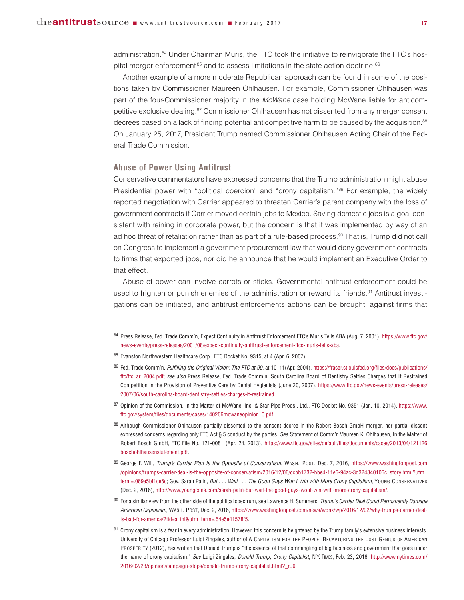administration.<sup>84</sup> Under Chairman Muris, the FTC took the initiative to reinvigorate the FTC's hospital merger enforcement<sup>85</sup> and to assess limitations in the state action doctrine.<sup>86</sup>

Another example of a more moderate Republican approach can be found in some of the positions taken by Commissioner Maureen Ohlhausen. For example, Commissioner Ohlhausen was part of the four-Commissioner majority in the McWane case holding McWane liable for anticompetitive exclusive dealing.87 Commissioner Ohlhausen has not dissented from any merger consent decrees based on a lack of finding potential anticompetitive harm to be caused by the acquisition.<sup>88</sup> On January 25, 2017, President Trump named Commissioner Ohlhausen Acting Chair of the Fed eral Trade Commission.

## **Abuse of Power Using Antitrust**

Conservative commentators have expressed concerns that the Trump administration might abuse Presidential power with "political coercion" and "crony capitalism."<sup>89</sup> For example, the widely reported negotiation with Carrier appeared to threaten Carrier's parent company with the loss of government contracts if Carrier moved certain jobs to Mexico. Saving domestic jobs is a goal consistent with reining in corporate power, but the concern is that it was implemented by way of an ad hoc threat of retaliation rather than as part of a rule-based process.<sup>90</sup> That is, Trump did not call on Congress to implement a government procurement law that would deny government contracts to firms that exported jobs, nor did he announce that he would implement an Executive Order to that effect.

Abuse of power can involve carrots or sticks. Governmental antitrust enforcement could be used to frighten or punish enemies of the administration or reward its friends.<sup>91</sup> Antitrust investigations can be initiated, and antitrust enforcements actions can be brought, against firms that

- 85 Evanston Northwestern Healthcare Corp., FTC Docket No. 9315, at 4 (Apr. 6, 2007).
- <sup>86</sup> Fed. Trade Comm'n, *Fulfilling the Original Vision: The FTC at 90*, at 10–11(Apr. 2004), [https://fraser.stlouisfed.org/files/docs/publications/](https://fraser.stlouisfed.org/files/docs/publications/ftc/ftc_ar_2004.pdf) [ftc/ftc\\_ar\\_2004.pdf;](https://fraser.stlouisfed.org/files/docs/publications/ftc/ftc_ar_2004.pdf) see also Press Release, Fed. Trade Comm'n, South Carolina Board of Dentistry Settles Charges that It Restrained Competition in the Provision of Preventive Care by Dental Hygienists (June 20, 2007), [https://www.ftc.gov/news-events/press-releases/](https://www.ftc.gov/news-events/press-releases/2007/06/south-carolina-board-dentistry-settles-charges-it-restrained) [2007/06/south-carolina-board-dentistry-settles-charges-it-restrained.](https://www.ftc.gov/news-events/press-releases/2007/06/south-carolina-board-dentistry-settles-charges-it-restrained)
- 87 Opinion of the Commission, In the Matter of McWane, Inc. & Star Pipe Prods., Ltd., FTC Docket No. 9351 (Jan. 10, 2014), [https://www.](https://www.ftc.gov/system/files/documents/cases/140206mcwaneopinion_0.pdf) [ftc.gov/system/files/documents/cases/140206mcwaneopinion\\_0.pdf.](https://www.ftc.gov/system/files/documents/cases/140206mcwaneopinion_0.pdf)
- 88 Although Commissioner Ohlhausen partially dissented to the consent decree in the Robert Bosch GmbH merger, her partial dissent expressed concerns regarding only FTC Act § 5 conduct by the parties. *See* Statement of Comm'r Maureen K. Ohlhausen, In the Matter of Robert Bosch GmbH, FTC File No. 121-0081 (Apr. 24, 2013), [https://www.ftc.gov/sites/default/files/documents/cases/2013/04/121126](https://www.ftc.gov/sites/default/files/documents/cases/2013/04/121126boschohlhausenstatement.pdf) [boschohlhausenstatement.pdf.](https://www.ftc.gov/sites/default/files/documents/cases/2013/04/121126boschohlhausenstatement.pdf)
- <sup>89</sup> George F. Will, *Trump's Carrier Plan Is the Opposite of Conservatism*, WASH. POST, Dec. 7, 2016, [https://www.washingtonpost.com](https://www.washingtonpost.com/opinions/trumps-carrier-deal-is-the-opposite-of-conservatism/2016/12/06/ccbb1732-bbe4-11e6-94ac-3d324840106c_story.html?utm_term=.069a5bf1ce5c) [/opinions/trumps-carrier-deal-is-the-opposite-of-conservatism/2016/12/06/ccbb1732-bbe4-11e6-94ac-3d324840106c\\_story.html?utm\\_](https://www.washingtonpost.com/opinions/trumps-carrier-deal-is-the-opposite-of-conservatism/2016/12/06/ccbb1732-bbe4-11e6-94ac-3d324840106c_story.html?utm_term=.069a5bf1ce5c) [term=.069a5bf1ce5c;](https://www.washingtonpost.com/opinions/trumps-carrier-deal-is-the-opposite-of-conservatism/2016/12/06/ccbb1732-bbe4-11e6-94ac-3d324840106c_story.html?utm_term=.069a5bf1ce5c) Gov. Sarah Palin, *But . . . Wait . . . The Good Guys Won't Win with More Crony Capitalism*, YOUNG CONSERVATIVES (Dec. 2, 2016), http://www.youngcons.com/sarah-palin-but-wait-the-good-guys-wont-win-with-more-crony-capitalism/.
- <sup>90</sup> For a similar view from the other side of the political spectrum, see Lawrence H. Summers, *Trump's Carrier Deal Could Permanently Damage American Capitalism*, WASH. POST, Dec. 2, 2016, https://www.washingtonpost.com/news/wonk/wp/2016/12/02/why-trumps-carrier-dealis-bad-for-america/?tid=a\_inl&utm\_term=.54e5e41578f5.
- 91 Crony capitalism is a fear in every administration. However, this concern is heightened by the Trump family's extensive business interests. University of Chicago Professor Luigi Zingales, author of A CAPITALISM FOR THE PEOPLE: RECAPTURING THE LOST GENIUS OF AMERICAN PROSPERITY (2012), has written that Donald Trump is "the essence of that commingling of big business and government that goes under the name of crony capitalism." *See* Luigi Zingales, *Donald Trump, Crony Capitalist*, N.Y. TIMES, Feb. 23, 2016, [http://www.nytimes.com/](http://www.nytimes.com/2016/02/23/opinion/campaign-stops/donald-trump-crony-capitalist.html?_r=0) [2016/02/23/opinion/campaign-stops/donald-trump-crony-capitalist.html?\\_r=0.](http://www.nytimes.com/2016/02/23/opinion/campaign-stops/donald-trump-crony-capitalist.html?_r=0)

<sup>84</sup> Press Release, Fed. Trade Comm'n, Expect Continuity in Antitrust Enforcement FTC's Muris Tells ABA (Aug. 7, 2001), [https://www.ftc.gov/](https://www.ftc.gov/news-events/press-releases/2001/08/expect-continuity-antitrust-enforcement-ftcs-muris-tells-aba) [news-events/press-releases/2001/08/expect-continuity-antitrust-enforcement-ftcs-muris-tells-aba.](https://www.ftc.gov/news-events/press-releases/2001/08/expect-continuity-antitrust-enforcement-ftcs-muris-tells-aba)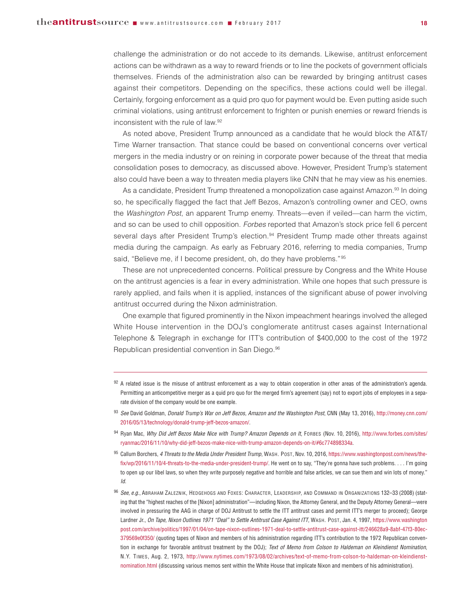challenge the administration or do not accede to its demands. Likewise, antitrust enforcement actions can be withdrawn as a way to reward friends or to line the pockets of government officials themselves. Friends of the administration also can be rewarded by bringing antitrust cases against their competitors. Depending on the specifics, these actions could well be illegal. Certainly, forgoing enforcement as a quid pro quo for payment would be. Even putting aside such criminal violations, using antitrust enforcement to frighten or punish enemies or reward friends is inconsistent with the rule of law.92

As noted above, President Trump announced as a candidate that he would block the AT&T/ Time Warner transaction. That stance could be based on conventional concerns over vertical mergers in the media industry or on reining in corporate power because of the threat that media consolidation poses to democracy, as discussed above. However, President Trump's statement also could have been a way to threaten media players like CNN that he may view as his enemies.

As a candidate, President Trump threatened a monopolization case against Amazon.<sup>93</sup> In doing so, he specifically flagged the fact that Jeff Bezos, Amazon's controlling owner and CEO, owns the Washington Post, an apparent Trump enemy. Threats—even if veiled—can harm the victim, and so can be used to chill opposition. Forbes reported that Amazon's stock price fell 6 percent several days after President Trump's election.<sup>94</sup> President Trump made other threats against media during the campaign. As early as February 2016, referring to media companies, Trump said, "Believe me, if I become president, oh, do they have problems."95

These are not unprecedented concerns. Political pressure by Congress and the White House on the antitrust agencies is a fear in every administration. While one hopes that such pressure is rarely applied, and fails when it is applied, instances of the significant abuse of power involving antitrust occurred during the Nixon administration.

One example that figured prominently in the Nixon impeachment hearings involved the alleged White House intervention in the DOJ's conglomerate antitrust cases against International Telephone & Telegraph in exchange for ITT's contribution of \$400,000 to the cost of the 1972 Republican presidential convention in San Diego.<sup>96</sup>

- $92$  A related issue is the misuse of antitrust enforcement as a way to obtain cooperation in other areas of the administration's agenda. Permitting an anticompetitive merger as a quid pro quo for the merged firm's agreement (say) not to export jobs of employees in a separate division of the company would be one example.
- <sup>93</sup> *See* David Goldman, *Donald Trump's War on Jeff Bezos, Amazon and the Washington Post*, CNN (May 13, 2016), [http://money.cnn.com/](http://money.cnn.com/2016/05/13/technology/donald-trump-jeff-bezos-amazon/) [2016/05/13/technology/donald-trump-jeff-bezos-amazon/.](http://money.cnn.com/2016/05/13/technology/donald-trump-jeff-bezos-amazon/)
- 94 Ryan Mac, Why Did Jeff Bezos Make Nice with Trump? Amazon Depends on It, FORBES (Nov. 10, 2016), [http://www.forbes.com/sites/](http://www.forbes.com/sites/ryanmac/2016/11/10/why-did-jeff-bezos-make-nice-with-trump-amazon-depends-on-it/#6c774898334a) [ryanmac/2016/11/10/why-did-jeff-bezos-make-nice-with-trump-amazon-depends-on-it/#6c774898334a.](http://www.forbes.com/sites/ryanmac/2016/11/10/why-did-jeff-bezos-make-nice-with-trump-amazon-depends-on-it/#6c774898334a)
- <sup>95</sup> Callum Borchers, *4 Threats to the Media Under President Trump*, WASH. POST, Nov. 10, 2016, https://www.washingtonpost.com/news/thefix/wp/2016/11/10/4-threats-to-the-media-under-president-trump/. He went on to say, "They're gonna have such problems. . . . I'm going to open up our libel laws, so when they write purposely negative and horrible and false articles, we can sue them and win lots of money." *Id.*
- <sup>96</sup> *See, e.g.*, ABRAHAM ZALEZNIK, HEDGEHOGS AND FOXES: CHARACTER, LEADERSHIP, AND COMMAND IN ORGANIZATIONS 132–33 (2008) (stating that the "highest reaches of the [Nixon] administration"—including Nixon, the Attorney General, and the Deputy Attorney General—were involved in pressuring the AAG in charge of DOJ Antitrust to settle the ITT antitrust cases and permit ITT's merger to proceed); George Lardner Jr., *On Tape, Nixon Outlines 1971 "Deal" to Settle Antitrust Case Against ITT*, WASH. POST, Jan. 4, 1997, [https://www.washington](https://www.washingtonpost.com/archive/politics/1997/01/04/on-tape-nixon-outlines-1971-deal-to-settle-antitrust-case-against-itt/246628a9-8abf-47f3-80ec-379569e0f350/) [post.com/archive/politics/1997/01/04/on-tape-nixon-outlines-1971-deal-to-settle-antitrust-case-against-itt/246628a9-8abf-47f3-80ec-](https://www.washingtonpost.com/archive/politics/1997/01/04/on-tape-nixon-outlines-1971-deal-to-settle-antitrust-case-against-itt/246628a9-8abf-47f3-80ec-379569e0f350/)[379569e0f350/](https://www.washingtonpost.com/archive/politics/1997/01/04/on-tape-nixon-outlines-1971-deal-to-settle-antitrust-case-against-itt/246628a9-8abf-47f3-80ec-379569e0f350/) (quoting tapes of Nixon and members of his administration regarding ITT's contribution to the 1972 Republican convention in exchange for favorable antitrust treatment by the DOJ); *Text of Memo from Colson to Haldeman on Kleindienst Nomination*, N.Y. TIMES, Aug. 2, 1973, [http://www.nytimes.com/1973/08/02/archives/text-of-memo-from-colson-to-haldeman-on-kleindienst](http://www.nytimes.com/1973/08/02/archives/text-of-memo-from-colson-to-haldeman-on-kleindienst-nomination.html)[nomination.html](http://www.nytimes.com/1973/08/02/archives/text-of-memo-from-colson-to-haldeman-on-kleindienst-nomination.html) (discussing various memos sent within the White House that implicate Nixon and members of his administration).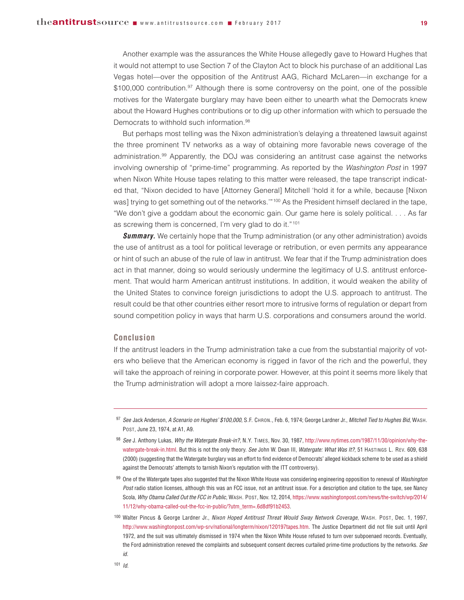Another example was the assurances the White House allegedly gave to Howard Hughes that it would not attempt to use Section 7 of the Clayton Act to block his purchase of an additional Las Vegas hotel—over the opposition of the Antitrust AAG, Richard McLaren—in exchange for a  $$100,000$  contribution.<sup>97</sup> Although there is some controversy on the point, one of the possible motives for the Watergate burglary may have been either to unearth what the Democrats knew about the Howard Hughes contributions or to dig up other information with which to persuade the Democrats to withhold such information.<sup>98</sup>

But perhaps most telling was the Nixon administration's delaying a threatened lawsuit against the three prominent TV networks as a way of obtaining more favorable news coverage of the administration.99 Apparently, the DOJ was considering an antitrust case against the networks involving ownership of "prime-time" programming. As reported by the Washington Post in 1997 when Nixon White House tapes relating to this matter were released, the tape transcript indicated that, "Nixon decided to have [Attorney General] Mitchell 'hold it for a while, because [Nixon was] trying to get something out of the networks."<sup>100</sup> As the President himself declared in the tape, "We don't give a goddam about the economic gain. Our game here is solely political. . . . As far as screwing them is concerned, I'm very glad to do it."101

**Summary.** We certainly hope that the Trump administration (or any other administration) avoids the use of antitrust as a tool for political leverage or retribution, or even permits any appearance or hint of such an abuse of the rule of law in antitrust. We fear that if the Trump administration does act in that manner, doing so would seriously undermine the legitimacy of U.S. antitrust enforcement. That would harm American antitrust institutions. In addition, it would weaken the ability of the United States to convince foreign jurisdictions to adopt the U.S. approach to antitrust. The result could be that other countries either resort more to intrusive forms of regulation or depart from sound competition policy in ways that harm U.S. corporations and consumers around the world.

#### **Conclusion**

If the antitrust leaders in the Trump administration take a cue from the substantial majority of voters who believe that the American economy is rigged in favor of the rich and the powerful, they will take the approach of reining in corporate power. However, at this point it seems more likely that the Trump administration will adopt a more laissez-faire approach.

<sup>97</sup> *See* Jack Anderson, *A Scenario on Hughes' \$100,000*, S.F. CHRON., Feb. 6, 1974; George Lardner Jr., *Mitchell Tied to Hughes Bid*, WASH. POST, June 23, 1974, at A1, A9.

<sup>98</sup> *See* J. Anthony Lukas, *Why the Watergate Break-in?*, N.Y. TIMES, Nov. 30, 1987, http://www.nytimes.com/1987/11/30/opinion/why-thewatergate-break-in.html. But this is not the only theory. *See* John W. Dean III, *Watergate: What Was It?*, 51 HASTINGS L. REV. 609, 638 (2000) (suggesting that the Watergate burglary was an effort to find evidence of Democrats' alleged kickback scheme to be used as a shield against the Democrats' attempts to tarnish Nixon's reputation with the ITT controversy).

<sup>99</sup> One of the Watergate tapes also suggested that the Nixon White House was considering engineering opposition to renewal of *Washington Post* radio station licenses, although this was an FCC issue, not an antitrust issue. For a description and citation to the tape, see Nancy Scola, *Why Obama Called Out the FCC in Public*, WASH. POST, Nov. 12, 2014, [https://www.washingtonpost.com/news/the-switch/wp/2014/](https://www.washingtonpost.com/news/the-switch/wp/2014/11/12/why-obama-called-out-the-fcc-in-public/?utm_term=.6d8df91b2453) [11/12/why-obama-called-out-the-fcc-in-public/?utm\\_term=.6d8df91b2453.](https://www.washingtonpost.com/news/the-switch/wp/2014/11/12/why-obama-called-out-the-fcc-in-public/?utm_term=.6d8df91b2453)

<sup>100</sup> Walter Pincus & George Lardner Jr., *Nixon Hoped Antitrust Threat Would Sway Network Coverage*, WASH. POST, Dec. 1, 1997, http://www.washingtonpost.com/wp-srv/national/longterm/nixon/120197tapes.htm. The Justice Department did not file suit until April 1972, and the suit was ultimately dismissed in 1974 when the Nixon White House refused to turn over subpoenaed records. Eventually, the Ford administration renewed the complaints and subsequent consent decrees curtailed prime-time productions by the networks. *See id.*